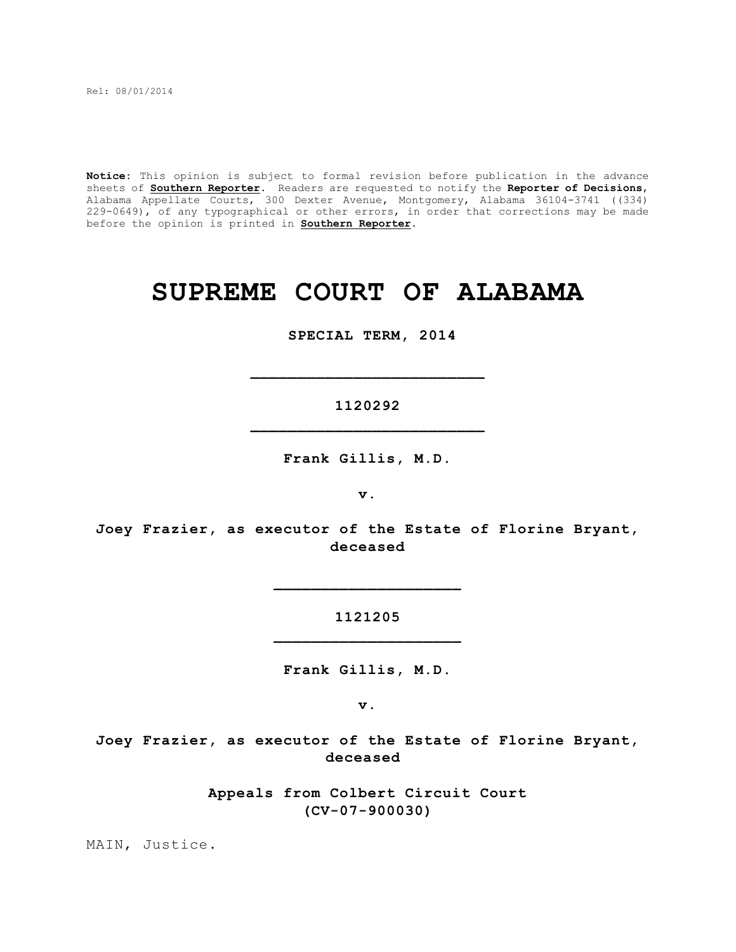Rel: 08/01/2014

**Notice:** This opinion is subject to formal revision before publication in the advance sheets of **Southern Reporter**. Readers are requested to notify the **Reporter of Decisions**, Alabama Appellate Courts, 300 Dexter Avenue, Montgomery, Alabama 36104-3741 ((334) 229-0649), of any typographical or other errors, in order that corrections may be made before the opinion is printed in **Southern Reporter**.

# **SUPREME COURT OF ALABAMA**

 **SPECIAL TERM, 2014**

**1120292 \_\_\_\_\_\_\_\_\_\_\_\_\_\_\_\_\_\_\_\_\_\_\_\_\_**

**\_\_\_\_\_\_\_\_\_\_\_\_\_\_\_\_\_\_\_\_\_\_\_\_\_**

**Frank Gillis, M.D.**

**v.**

**Joey Frazier, as executor of the Estate of Florine Bryant, deceased**

> **1121205 \_\_\_\_\_\_\_\_\_\_\_\_\_\_\_\_\_\_\_\_**

> **\_\_\_\_\_\_\_\_\_\_\_\_\_\_\_\_\_\_\_\_**

**Frank Gillis, M.D.**

**v.**

**Joey Frazier, as executor of the Estate of Florine Bryant, deceased** 

> **Appeals from Colbert Circuit Court (CV-07-900030)**

MAIN, Justice.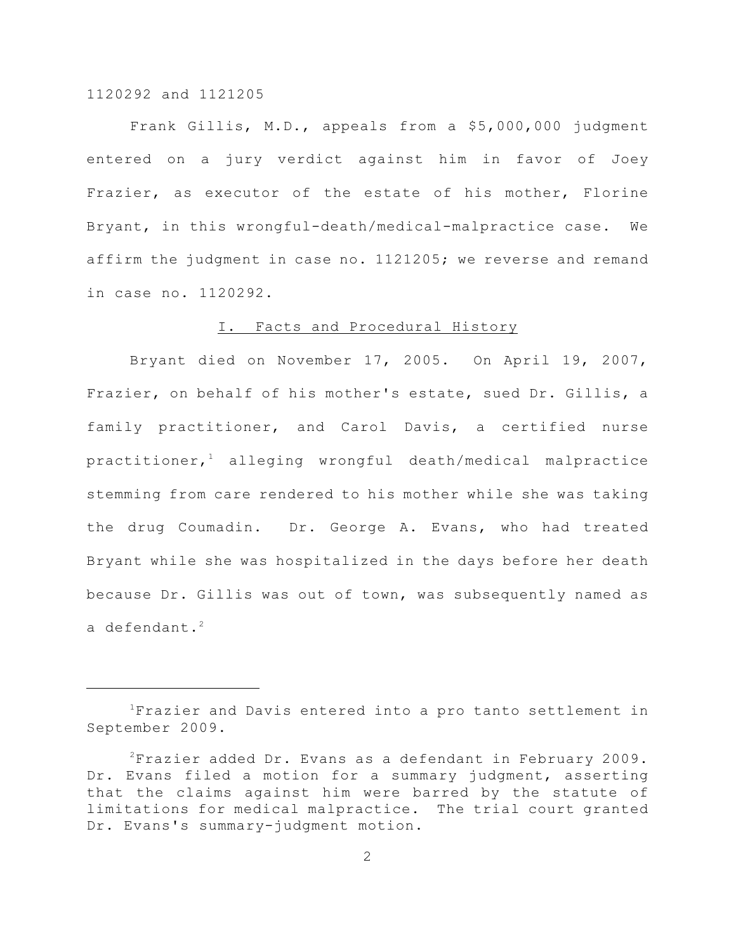Frank Gillis, M.D., appeals from a \$5,000,000 judgment entered on a jury verdict against him in favor of Joey Frazier, as executor of the estate of his mother, Florine Bryant, in this wrongful-death/medical-malpractice case. We affirm the judgment in case no. 1121205; we reverse and remand in case no. 1120292.

## I. Facts and Procedural History

Bryant died on November 17, 2005. On April 19, 2007, Frazier, on behalf of his mother's estate, sued Dr. Gillis, a family practitioner, and Carol Davis, a certified nurse  $practitioner, <sup>1</sup>$  alleging wrongful death/medical malpractice stemming from care rendered to his mother while she was taking the drug Coumadin. Dr. George A. Evans, who had treated Bryant while she was hospitalized in the days before her death because Dr. Gillis was out of town, was subsequently named as a defendant. $2$ 

Frazier and Davis entered into a pro tanto settlement in <sup>1</sup> September 2009.

 $2$ Frazier added Dr. Evans as a defendant in February 2009. Dr. Evans filed a motion for a summary judgment, asserting that the claims against him were barred by the statute of limitations for medical malpractice. The trial court granted Dr. Evans's summary-judgment motion.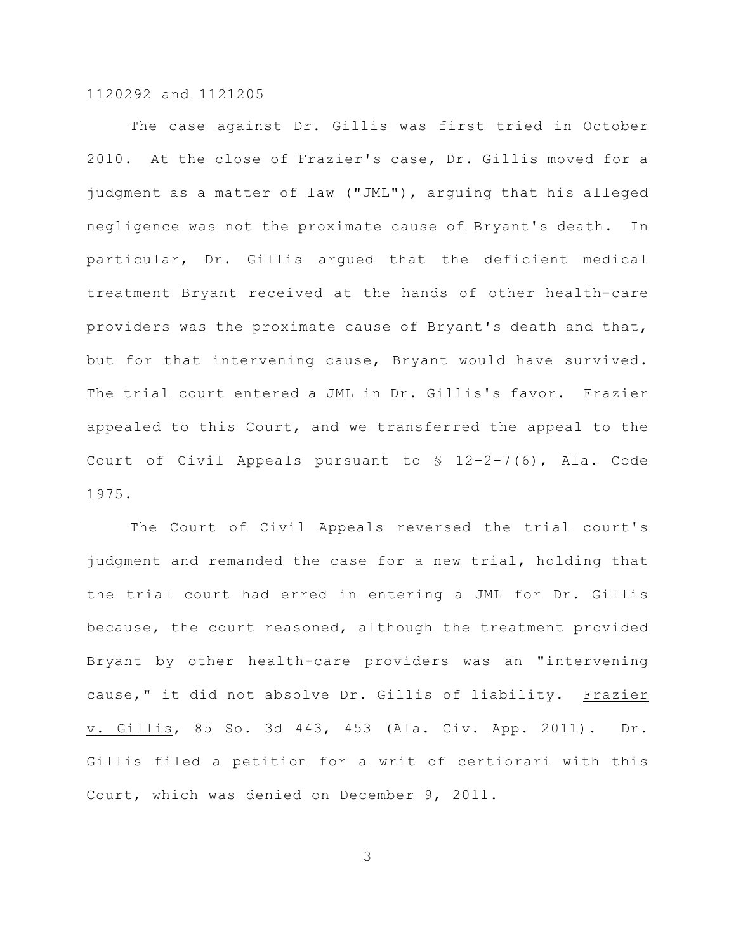The case against Dr. Gillis was first tried in October 2010. At the close of Frazier's case, Dr. Gillis moved for a judgment as a matter of law ("JML"), arguing that his alleged negligence was not the proximate cause of Bryant's death. In particular, Dr. Gillis argued that the deficient medical treatment Bryant received at the hands of other health-care providers was the proximate cause of Bryant's death and that, but for that intervening cause, Bryant would have survived. The trial court entered a JML in Dr. Gillis's favor. Frazier appealed to this Court, and we transferred the appeal to the Court of Civil Appeals pursuant to § 12–2–7(6), Ala. Code 1975.

The Court of Civil Appeals reversed the trial court's judgment and remanded the case for a new trial, holding that the trial court had erred in entering a JML for Dr. Gillis because, the court reasoned, although the treatment provided Bryant by other health-care providers was an "intervening cause," it did not absolve Dr. Gillis of liability. Frazier v. Gillis, 85 So. 3d 443, 453 (Ala. Civ. App. 2011). Dr. Gillis filed a petition for a writ of certiorari with this Court, which was denied on December 9, 2011.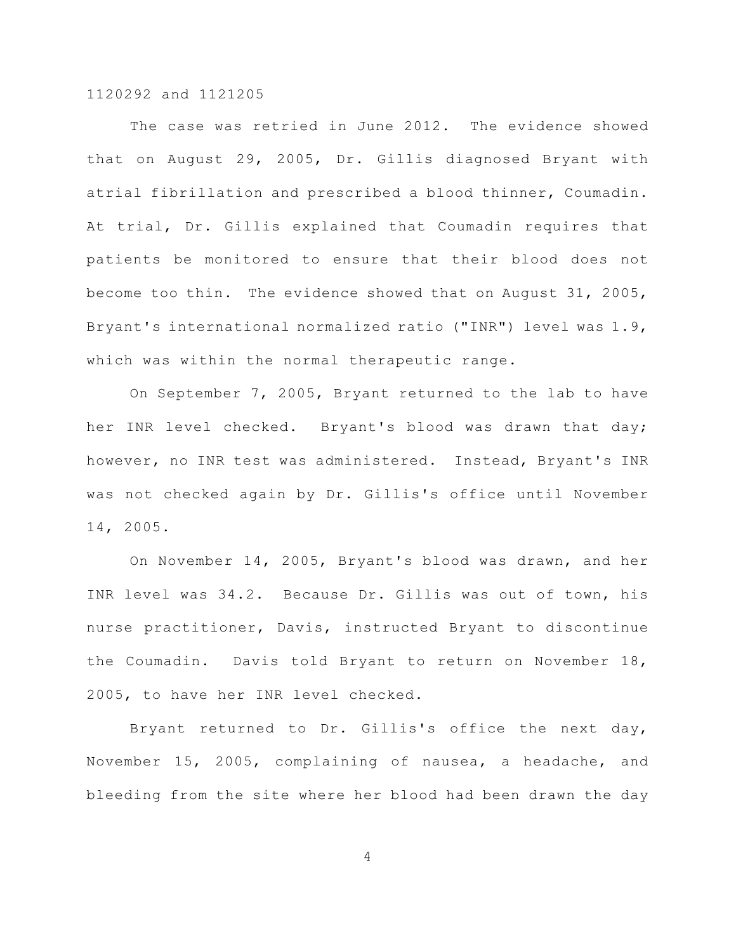The case was retried in June 2012. The evidence showed that on August 29, 2005, Dr. Gillis diagnosed Bryant with atrial fibrillation and prescribed a blood thinner, Coumadin. At trial, Dr. Gillis explained that Coumadin requires that patients be monitored to ensure that their blood does not become too thin. The evidence showed that on August 31, 2005, Bryant's international normalized ratio ("INR") level was 1.9, which was within the normal therapeutic range.

On September 7, 2005, Bryant returned to the lab to have her INR level checked. Bryant's blood was drawn that day; however, no INR test was administered. Instead, Bryant's INR was not checked again by Dr. Gillis's office until November 14, 2005.

On November 14, 2005, Bryant's blood was drawn, and her INR level was 34.2. Because Dr. Gillis was out of town, his nurse practitioner, Davis, instructed Bryant to discontinue the Coumadin. Davis told Bryant to return on November 18, 2005, to have her INR level checked.

Bryant returned to Dr. Gillis's office the next day, November 15, 2005, complaining of nausea, a headache, and bleeding from the site where her blood had been drawn the day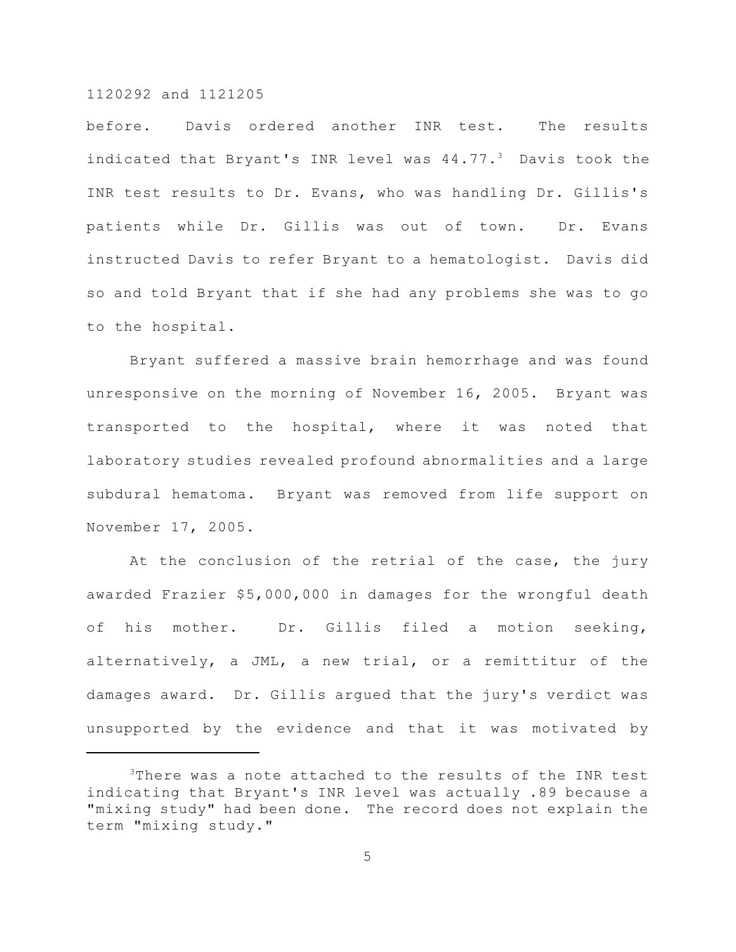before. Davis ordered another INR test. The results indicated that Bryant's INR level was  $44.77.^3$  Davis took the INR test results to Dr. Evans, who was handling Dr. Gillis's patients while Dr. Gillis was out of town. Dr. Evans instructed Davis to refer Bryant to a hematologist. Davis did so and told Bryant that if she had any problems she was to go to the hospital.

Bryant suffered a massive brain hemorrhage and was found unresponsive on the morning of November 16, 2005. Bryant was transported to the hospital, where it was noted that laboratory studies revealed profound abnormalities and a large subdural hematoma. Bryant was removed from life support on November 17, 2005.

At the conclusion of the retrial of the case, the jury awarded Frazier \$5,000,000 in damages for the wrongful death of his mother. Dr. Gillis filed a motion seeking, alternatively, a JML, a new trial, or a remittitur of the damages award. Dr. Gillis argued that the jury's verdict was unsupported by the evidence and that it was motivated by

 $3$ There was a note attached to the results of the INR test indicating that Bryant's INR level was actually .89 because a "mixing study" had been done. The record does not explain the term "mixing study."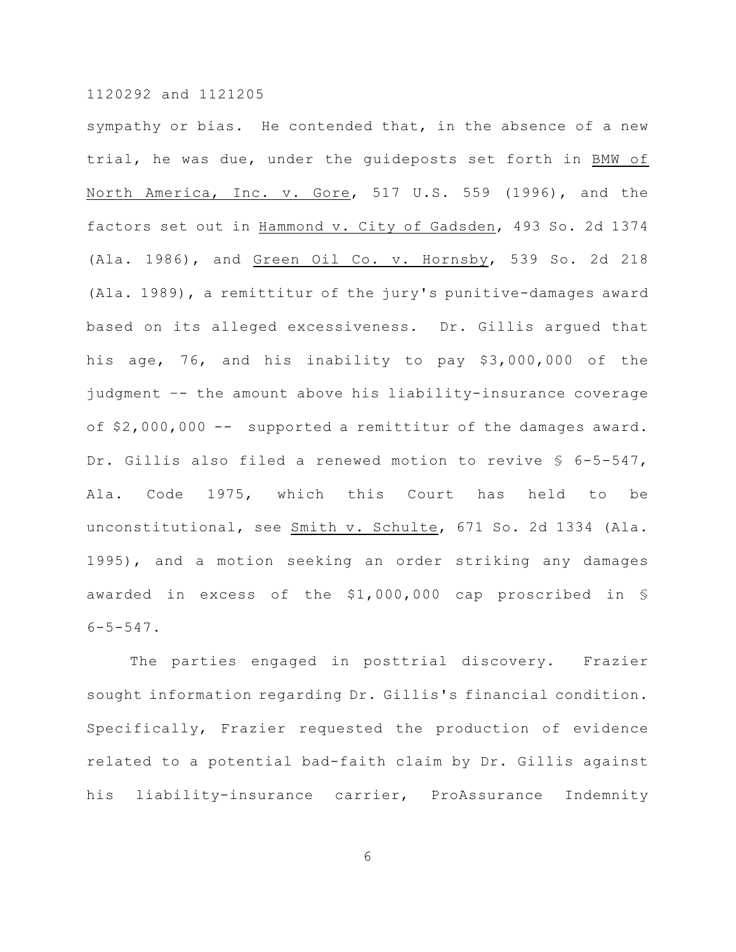sympathy or bias. He contended that, in the absence of a new trial, he was due, under the guideposts set forth in BMW of North America, Inc. v. Gore, 517 U.S. 559 (1996), and the factors set out in Hammond v. City of Gadsden, 493 So. 2d 1374 (Ala. 1986), and Green Oil Co. v. Hornsby, 539 So. 2d 218 (Ala. 1989), a remittitur of the jury's punitive-damages award based on its alleged excessiveness. Dr. Gillis argued that his age, 76, and his inability to pay \$3,000,000 of the judgment –- the amount above his liability-insurance coverage of \$2,000,000 -- supported a remittitur of the damages award. Dr. Gillis also filed a renewed motion to revive § 6-5-547, Ala. Code 1975, which this Court has held to be unconstitutional, see Smith v. Schulte, 671 So. 2d 1334 (Ala. 1995), and a motion seeking an order striking any damages awarded in excess of the \$1,000,000 cap proscribed in §  $6 - 5 - 547$ .

The parties engaged in posttrial discovery. Frazier sought information regarding Dr. Gillis's financial condition. Specifically, Frazier requested the production of evidence related to a potential bad-faith claim by Dr. Gillis against his liability-insurance carrier, ProAssurance Indemnity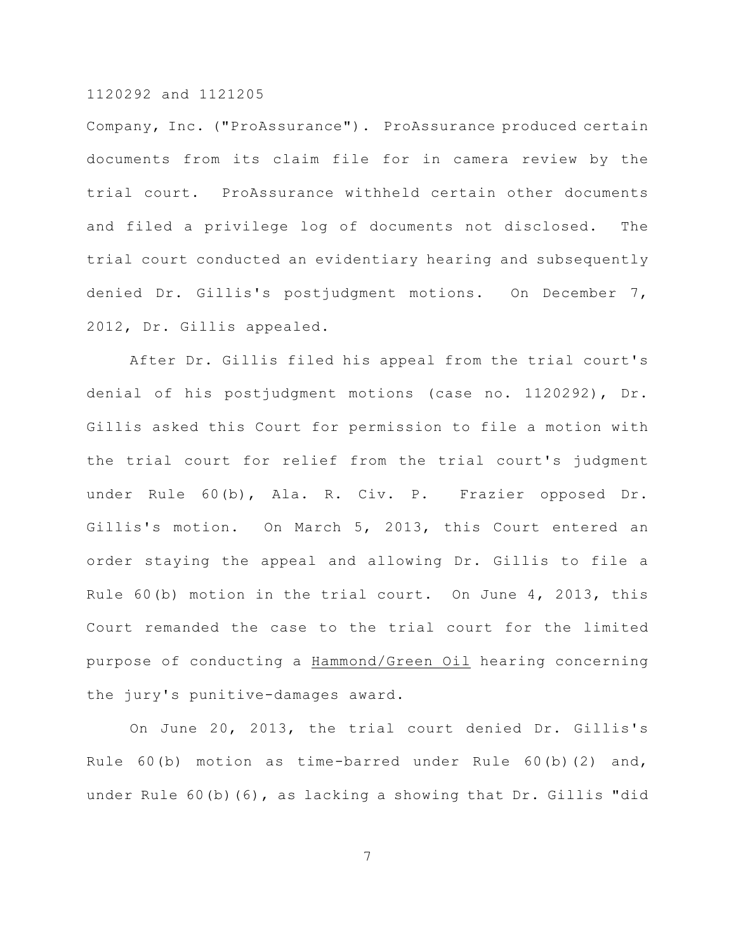Company, Inc. ("ProAssurance"). ProAssurance produced certain documents from its claim file for in camera review by the trial court. ProAssurance withheld certain other documents and filed a privilege log of documents not disclosed. The trial court conducted an evidentiary hearing and subsequently denied Dr. Gillis's postjudgment motions. On December 7, 2012, Dr. Gillis appealed.

After Dr. Gillis filed his appeal from the trial court's denial of his postjudgment motions (case no. 1120292), Dr. Gillis asked this Court for permission to file a motion with the trial court for relief from the trial court's judgment under Rule 60(b), Ala. R. Civ. P. Frazier opposed Dr. Gillis's motion. On March 5, 2013, this Court entered an order staying the appeal and allowing Dr. Gillis to file a Rule 60(b) motion in the trial court. On June 4, 2013, this Court remanded the case to the trial court for the limited purpose of conducting a Hammond/Green Oil hearing concerning the jury's punitive-damages award.

On June 20, 2013, the trial court denied Dr. Gillis's Rule 60(b) motion as time-barred under Rule 60(b)(2) and, under Rule 60(b)(6), as lacking a showing that Dr. Gillis "did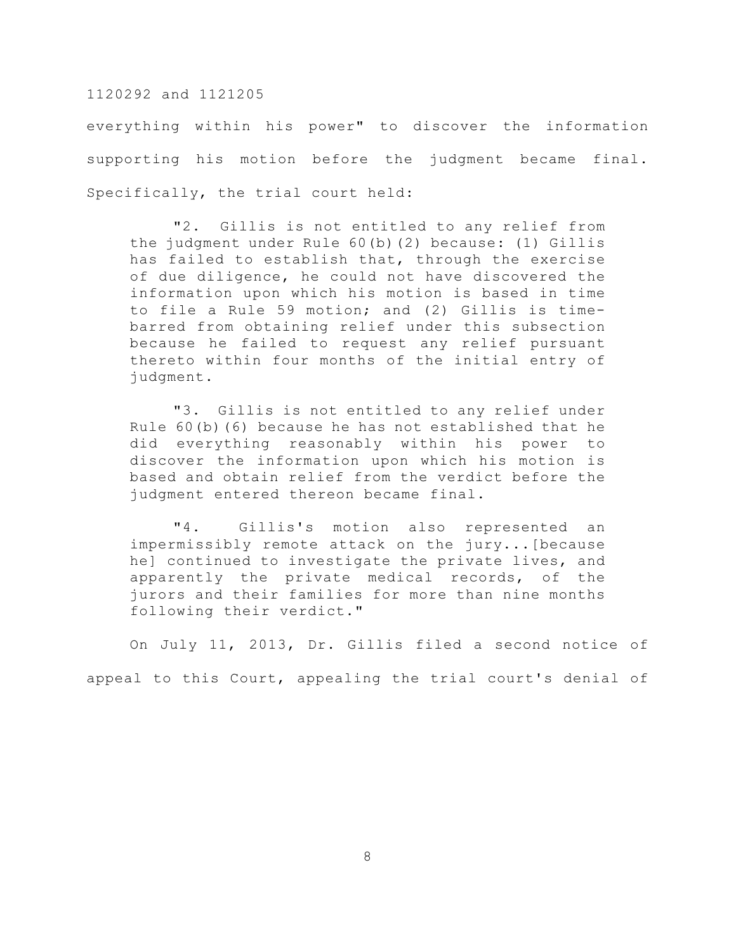everything within his power" to discover the information supporting his motion before the judgment became final. Specifically, the trial court held:

"2. Gillis is not entitled to any relief from the judgment under Rule 60(b)(2) because: (1) Gillis has failed to establish that, through the exercise of due diligence, he could not have discovered the information upon which his motion is based in time to file a Rule 59 motion; and (2) Gillis is timebarred from obtaining relief under this subsection because he failed to request any relief pursuant thereto within four months of the initial entry of judgment.

"3. Gillis is not entitled to any relief under Rule 60(b)(6) because he has not established that he did everything reasonably within his power to discover the information upon which his motion is based and obtain relief from the verdict before the judgment entered thereon became final.

"4. Gillis's motion also represented an impermissibly remote attack on the jury...[because he] continued to investigate the private lives, and apparently the private medical records, of the jurors and their families for more than nine months following their verdict."

On July 11, 2013, Dr. Gillis filed a second notice of appeal to this Court, appealing the trial court's denial of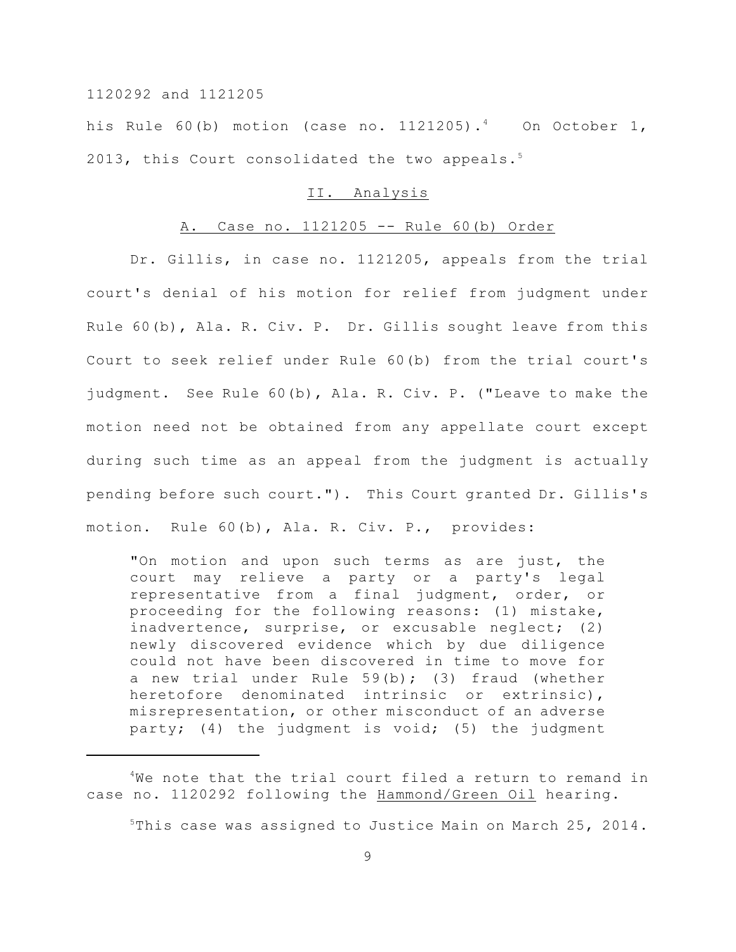his Rule 60(b) motion (case no. 1121205).<sup>4</sup> On October 1, 2013, this Court consolidated the two appeals.<sup>5</sup>

#### II. Analysis

# A. Case no. 1121205 -- Rule 60(b) Order

Dr. Gillis, in case no. 1121205, appeals from the trial court's denial of his motion for relief from judgment under Rule 60(b), Ala. R. Civ. P. Dr. Gillis sought leave from this Court to seek relief under Rule 60(b) from the trial court's judgment. See Rule 60(b), Ala. R. Civ. P. ("Leave to make the motion need not be obtained from any appellate court except during such time as an appeal from the judgment is actually pending before such court."). This Court granted Dr. Gillis's motion. Rule 60(b), Ala. R. Civ. P., provides:

"On motion and upon such terms as are just, the court may relieve a party or a party's legal representative from a final judgment, order, or proceeding for the following reasons: (1) mistake, inadvertence, surprise, or excusable neglect; (2) newly discovered evidence which by due diligence could not have been discovered in time to move for a new trial under Rule 59(b); (3) fraud (whether heretofore denominated intrinsic or extrinsic), misrepresentation, or other misconduct of an adverse party; (4) the judgment is void; (5) the judgment

 $5$ This case was assigned to Justice Main on March 25, 2014.

 $4$ We note that the trial court filed a return to remand in case no. 1120292 following the Hammond/Green Oil hearing.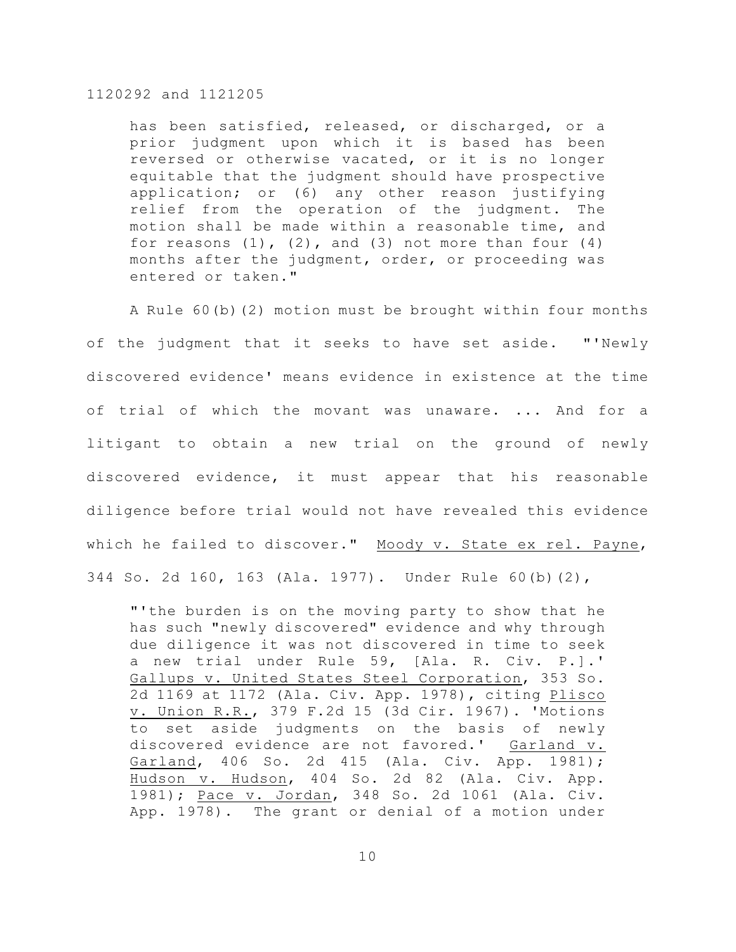has been satisfied, released, or discharged, or a prior judgment upon which it is based has been reversed or otherwise vacated, or it is no longer equitable that the judgment should have prospective application; or (6) any other reason justifying relief from the operation of the judgment. The motion shall be made within a reasonable time, and for reasons  $(1)$ ,  $(2)$ , and  $(3)$  not more than four  $(4)$ months after the judgment, order, or proceeding was entered or taken."

A Rule 60(b)(2) motion must be brought within four months of the judgment that it seeks to have set aside. "'Newly discovered evidence' means evidence in existence at the time of trial of which the movant was unaware. ... And for a litigant to obtain a new trial on the ground of newly discovered evidence, it must appear that his reasonable diligence before trial would not have revealed this evidence which he failed to discover." Moody v. State ex rel. Payne, 344 So. 2d 160, 163 (Ala. 1977). Under Rule 60(b)(2),

"'the burden is on the moving party to show that he has such "newly discovered" evidence and why through due diligence it was not discovered in time to seek a new trial under Rule 59, [Ala. R. Civ. P.].' Gallups v. United States Steel Corporation, 353 So. 2d 1169 at 1172 (Ala. Civ. App. 1978), citing Plisco v. Union R.R., 379 F.2d 15 (3d Cir. 1967). 'Motions to set aside judgments on the basis of newly discovered evidence are not favored.' Garland v. Garland, 406 So. 2d 415 (Ala. Civ. App. 1981); Hudson v. Hudson, 404 So. 2d 82 (Ala. Civ. App. 1981); Pace v. Jordan, 348 So. 2d 1061 (Ala. Civ. App. 1978). The grant or denial of a motion under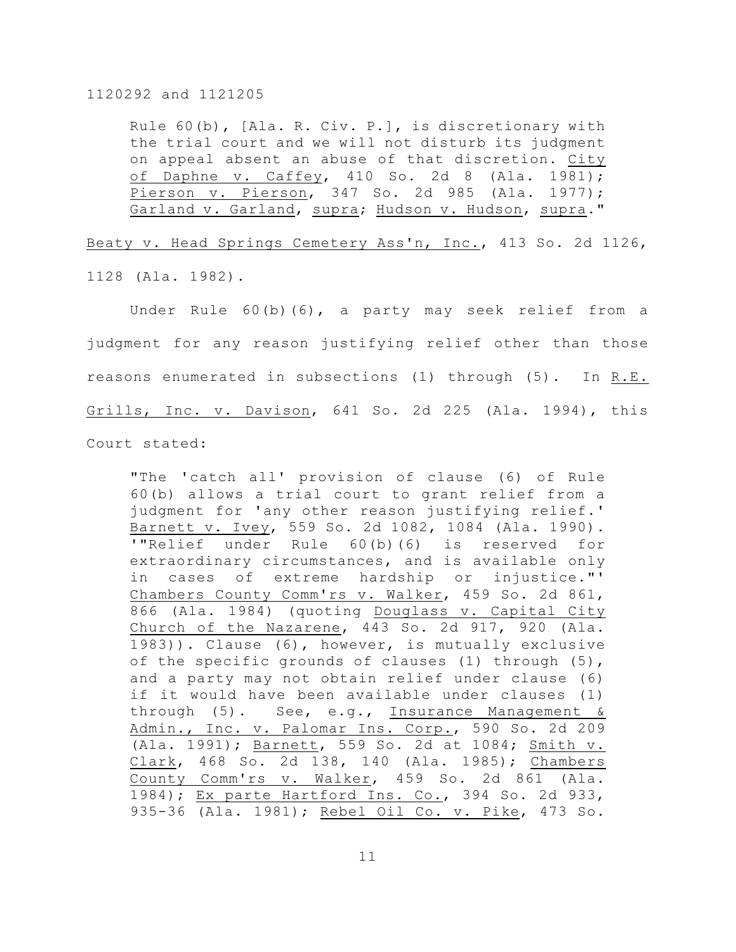Rule 60(b), [Ala. R. Civ. P.], is discretionary with the trial court and we will not disturb its judgment on appeal absent an abuse of that discretion. City of Daphne v. Caffey, 410 So. 2d 8 (Ala. 1981); Pierson v. Pierson, 347 So. 2d 985 (Ala. 1977); Garland v. Garland, supra; Hudson v. Hudson, supra."

Beaty v. Head Springs Cemetery Ass'n, Inc., 413 So. 2d 1126,

1128 (Ala. 1982).

Under Rule 60(b)(6), a party may seek relief from a judgment for any reason justifying relief other than those reasons enumerated in subsections (1) through (5). In R.E. Grills, Inc. v. Davison, 641 So. 2d 225 (Ala. 1994), this Court stated:

"The 'catch all' provision of clause (6) of Rule 60(b) allows a trial court to grant relief from a judgment for 'any other reason justifying relief.' Barnett v. Ivey, 559 So. 2d 1082, 1084 (Ala. 1990). '"Relief under Rule 60(b)(6) is reserved for extraordinary circumstances, and is available only in cases of extreme hardship or injustice."' Chambers County Comm'rs v. Walker, 459 So. 2d 861, 866 (Ala. 1984) (quoting Douglass v. Capital City Church of the Nazarene, 443 So. 2d 917, 920 (Ala. 1983)). Clause (6), however, is mutually exclusive of the specific grounds of clauses (1) through (5), and a party may not obtain relief under clause (6) if it would have been available under clauses (1) through (5). See, e.g., Insurance Management & Admin., Inc. v. Palomar Ins. Corp., 590 So. 2d 209 (Ala. 1991); Barnett, 559 So. 2d at 1084; Smith v. Clark, 468 So. 2d 138, 140 (Ala. 1985); Chambers County Comm'rs v. Walker, 459 So. 2d 861 (Ala. 1984); Ex parte Hartford Ins. Co., 394 So. 2d 933, 935-36 (Ala. 1981); Rebel Oil Co. v. Pike, 473 So.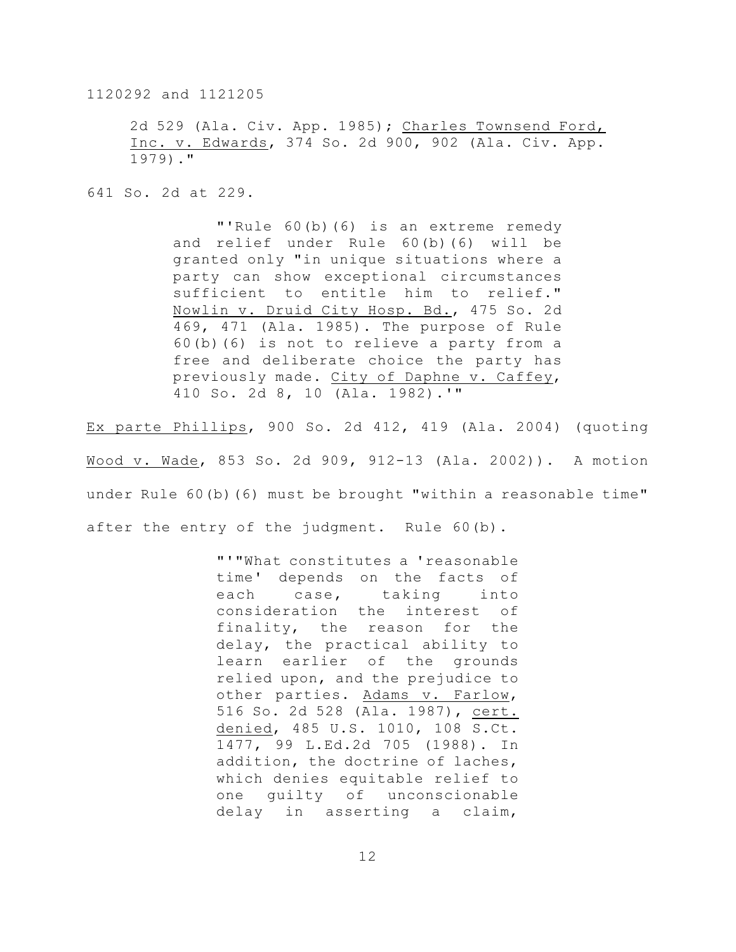2d 529 (Ala. Civ. App. 1985); Charles Townsend Ford, Inc. v. Edwards, 374 So. 2d 900, 902 (Ala. Civ. App. 1979)."

641 So. 2d at 229.

"'Rule 60(b)(6) is an extreme remedy and relief under Rule 60(b)(6) will be granted only "in unique situations where a party can show exceptional circumstances sufficient to entitle him to relief." Nowlin v. Druid City Hosp. Bd., 475 So. 2d 469, 471 (Ala. 1985). The purpose of Rule 60(b)(6) is not to relieve a party from a free and deliberate choice the party has previously made. City of Daphne v. Caffey, 410 So. 2d 8, 10 (Ala. 1982).'"

Ex parte Phillips, 900 So. 2d 412, 419 (Ala. 2004) (quoting Wood v. Wade, 853 So. 2d 909, 912-13 (Ala. 2002)). A motion under Rule 60(b)(6) must be brought "within a reasonable time" after the entry of the judgment. Rule 60(b).

> "'"What constitutes a 'reasonable time' depends on the facts of each case, taking into consideration the interest of finality, the reason for the delay, the practical ability to learn earlier of the grounds relied upon, and the prejudice to other parties. Adams v. Farlow, 516 So. 2d 528 (Ala. 1987), cert. denied, 485 U.S. 1010, 108 S.Ct. 1477, 99 L.Ed.2d 705 (1988). In addition, the doctrine of laches, which denies equitable relief to one guilty of unconscionable delay in asserting a claim,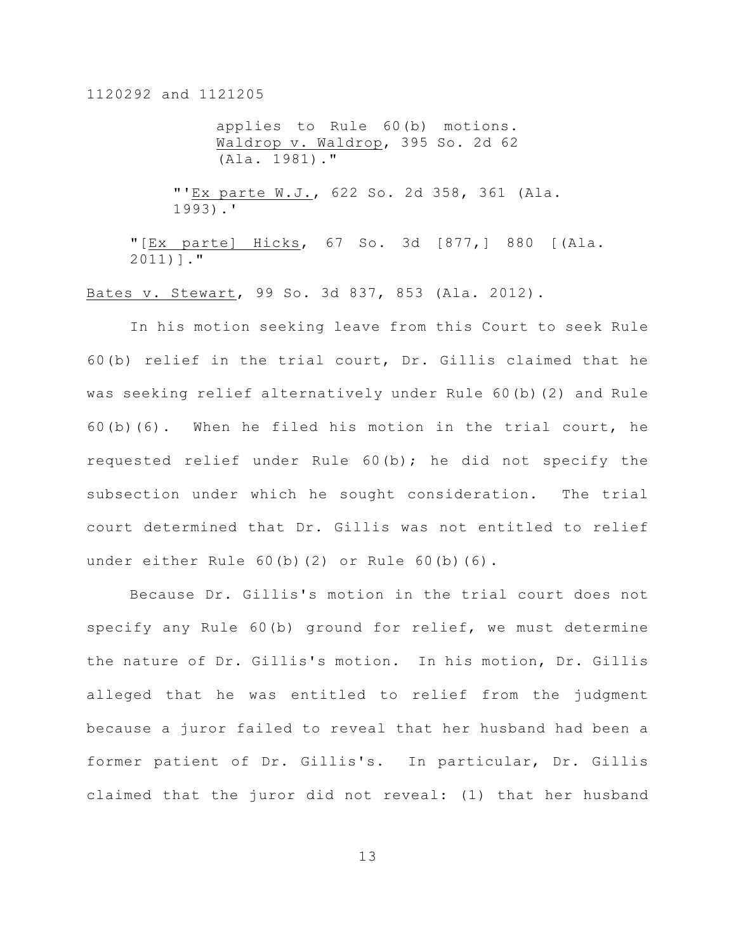applies to Rule 60(b) motions. Waldrop v. Waldrop, 395 So. 2d 62 (Ala. 1981)."

"'Ex parte W.J., 622 So. 2d 358, 361 (Ala. 1993).'

"[Ex parte] Hicks, 67 So. 3d [877,] 880 [(Ala. 2011)]."

Bates v. Stewart, 99 So. 3d 837, 853 (Ala. 2012).

In his motion seeking leave from this Court to seek Rule 60(b) relief in the trial court, Dr. Gillis claimed that he was seeking relief alternatively under Rule 60(b)(2) and Rule 60(b)(6). When he filed his motion in the trial court, he requested relief under Rule 60(b); he did not specify the subsection under which he sought consideration. The trial court determined that Dr. Gillis was not entitled to relief under either Rule 60(b)(2) or Rule 60(b)(6).

 Because Dr. Gillis's motion in the trial court does not specify any Rule 60(b) ground for relief, we must determine the nature of Dr. Gillis's motion. In his motion, Dr. Gillis alleged that he was entitled to relief from the judgment because a juror failed to reveal that her husband had been a former patient of Dr. Gillis's. In particular, Dr. Gillis claimed that the juror did not reveal: (1) that her husband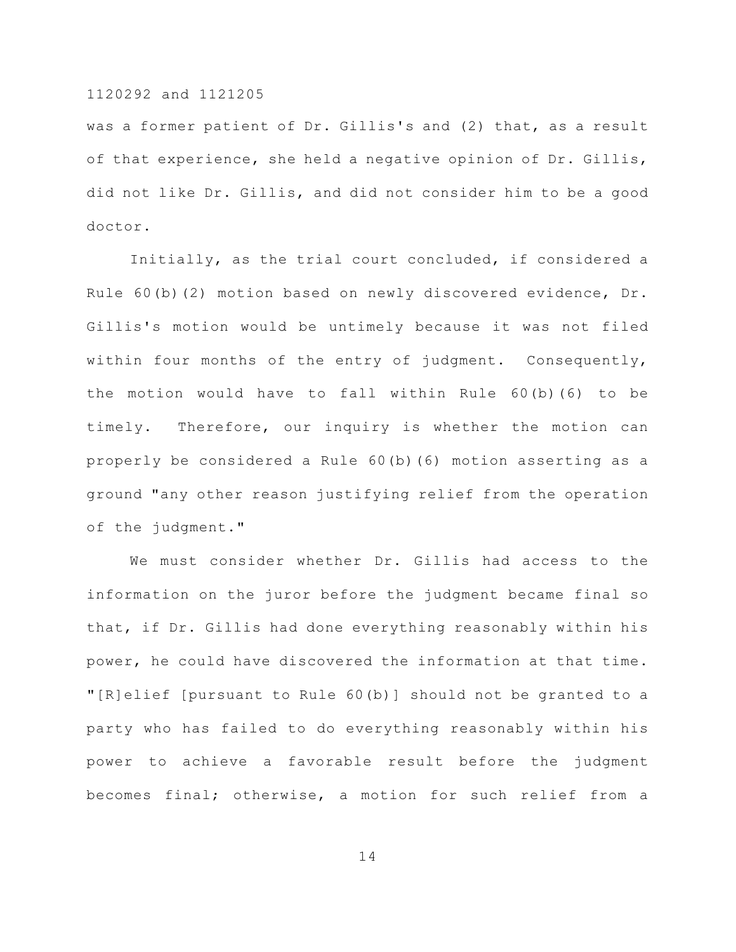was a former patient of Dr. Gillis's and (2) that, as a result of that experience, she held a negative opinion of Dr. Gillis, did not like Dr. Gillis, and did not consider him to be a good doctor.

Initially, as the trial court concluded, if considered a Rule 60(b)(2) motion based on newly discovered evidence, Dr. Gillis's motion would be untimely because it was not filed within four months of the entry of judgment. Consequently, the motion would have to fall within Rule 60(b)(6) to be timely. Therefore, our inquiry is whether the motion can properly be considered a Rule 60(b)(6) motion asserting as a ground "any other reason justifying relief from the operation of the judgment."

We must consider whether Dr. Gillis had access to the information on the juror before the judgment became final so that, if Dr. Gillis had done everything reasonably within his power, he could have discovered the information at that time. "[R]elief [pursuant to Rule 60(b)] should not be granted to a party who has failed to do everything reasonably within his power to achieve a favorable result before the judgment becomes final; otherwise, a motion for such relief from a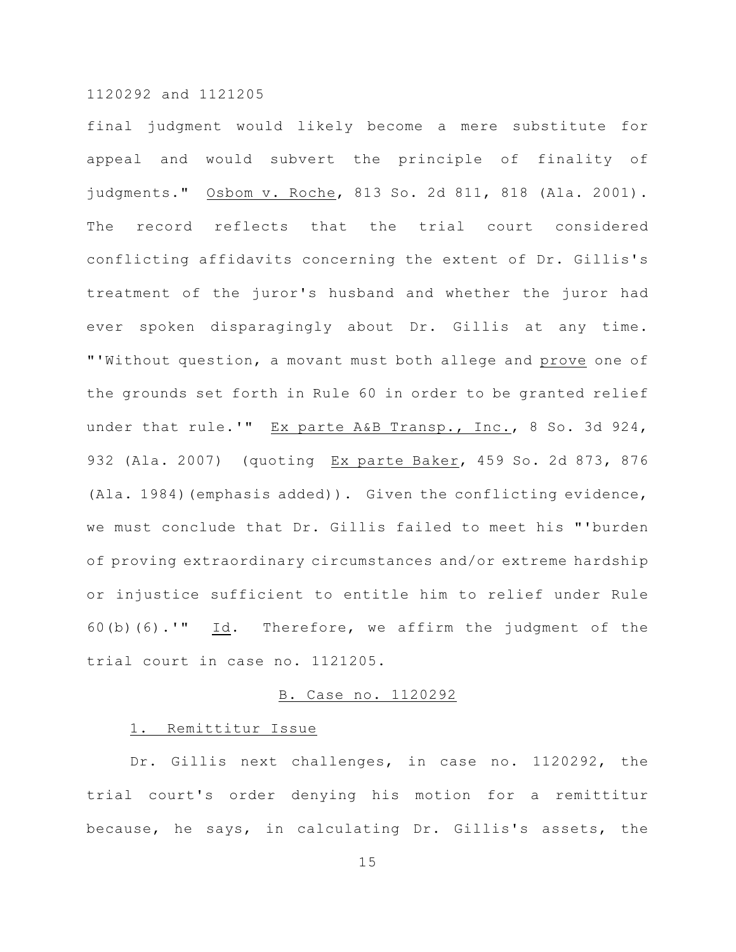final judgment would likely become a mere substitute for appeal and would subvert the principle of finality of judgments." Osbom v. Roche, 813 So. 2d 811, 818 (Ala. 2001). The record reflects that the trial court considered conflicting affidavits concerning the extent of Dr. Gillis's treatment of the juror's husband and whether the juror had ever spoken disparagingly about Dr. Gillis at any time. "'Without question, a movant must both allege and prove one of the grounds set forth in Rule 60 in order to be granted relief under that rule.'" Ex parte A&B Transp., Inc., 8 So. 3d 924, 932 (Ala. 2007) (quoting Ex parte Baker, 459 So. 2d 873, 876 (Ala. 1984)(emphasis added)). Given the conflicting evidence, we must conclude that Dr. Gillis failed to meet his "'burden of proving extraordinary circumstances and/or extreme hardship or injustice sufficient to entitle him to relief under Rule 60(b)(6).'"  $Id.$  Therefore, we affirm the judgment of the trial court in case no. 1121205.

# B. Case no. 1120292

# 1. Remittitur Issue

Dr. Gillis next challenges, in case no. 1120292, the trial court's order denying his motion for a remittitur because, he says, in calculating Dr. Gillis's assets, the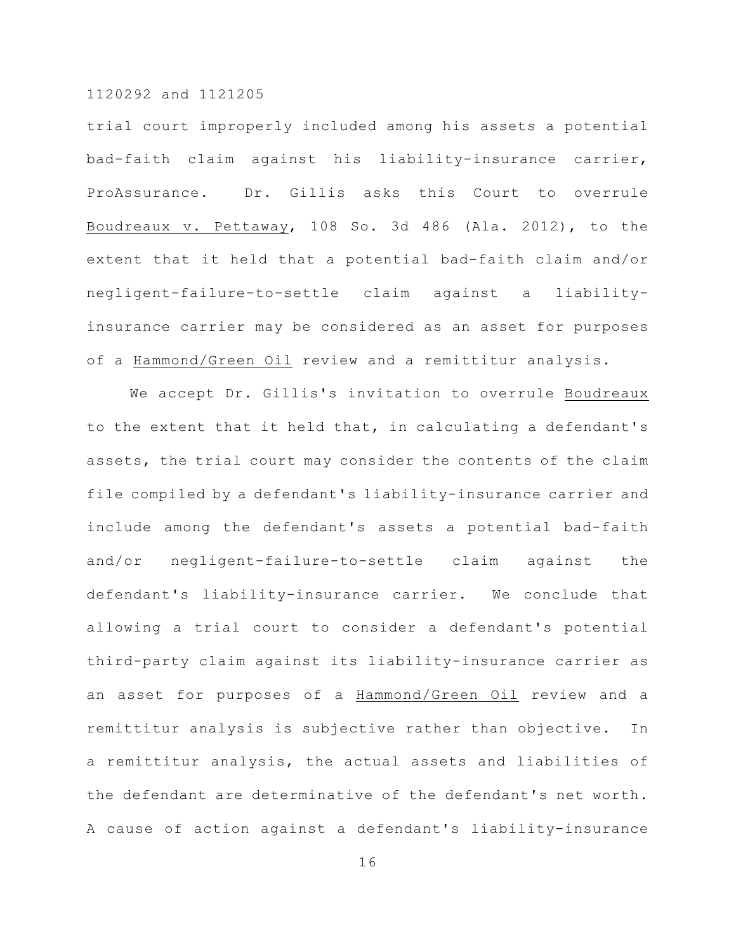trial court improperly included among his assets a potential bad-faith claim against his liability-insurance carrier, ProAssurance. Dr. Gillis asks this Court to overrule Boudreaux v. Pettaway, 108 So. 3d 486 (Ala. 2012), to the extent that it held that a potential bad-faith claim and/or negligent-failure-to-settle claim against a liabilityinsurance carrier may be considered as an asset for purposes of a Hammond/Green Oil review and a remittitur analysis.

We accept Dr. Gillis's invitation to overrule Boudreaux to the extent that it held that, in calculating a defendant's assets, the trial court may consider the contents of the claim file compiled by a defendant's liability-insurance carrier and include among the defendant's assets a potential bad-faith and/or negligent-failure-to-settle claim against the defendant's liability-insurance carrier. We conclude that allowing a trial court to consider a defendant's potential third-party claim against its liability-insurance carrier as an asset for purposes of a Hammond/Green Oil review and a remittitur analysis is subjective rather than objective. In a remittitur analysis, the actual assets and liabilities of the defendant are determinative of the defendant's net worth. A cause of action against a defendant's liability-insurance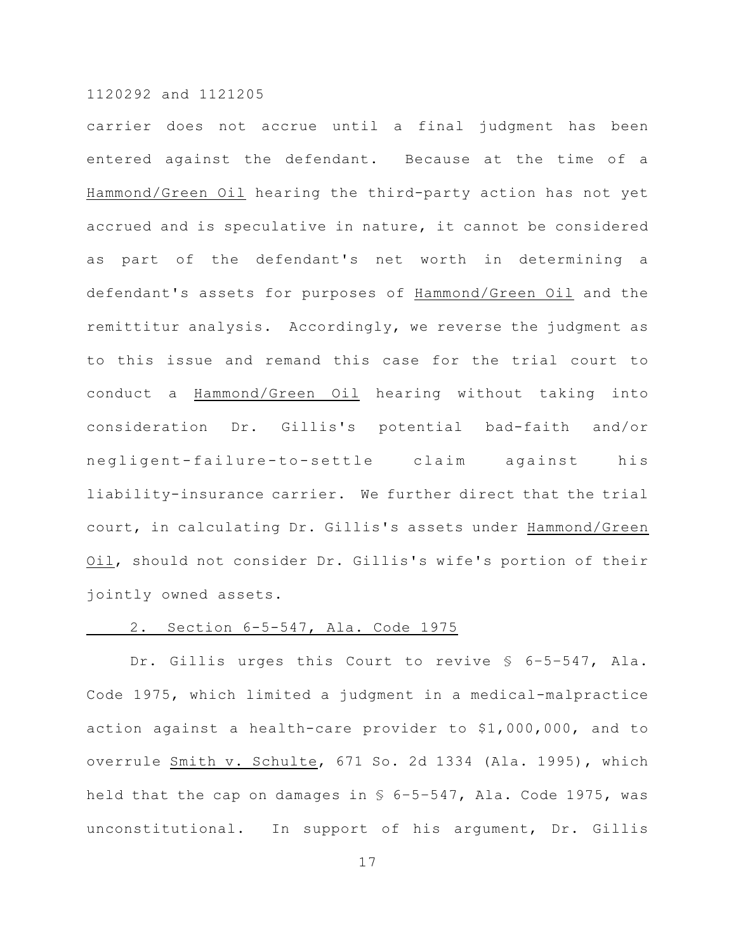carrier does not accrue until a final judgment has been entered against the defendant. Because at the time of a Hammond/Green Oil hearing the third-party action has not yet accrued and is speculative in nature, it cannot be considered as part of the defendant's net worth in determining a defendant's assets for purposes of Hammond/Green Oil and the remittitur analysis. Accordingly, we reverse the judgment as to this issue and remand this case for the trial court to conduct a Hammond/Green Oil hearing without taking into consideration Dr. Gillis's potential bad-faith and/or negligent-failure-to-settle claim against his liability-insurance carrier. We further direct that the trial court, in calculating Dr. Gillis's assets under Hammond/Green Oil, should not consider Dr. Gillis's wife's portion of their jointly owned assets.

# 2. Section 6-5-547, Ala. Code 1975

Dr. Gillis urges this Court to revive § 6–5–547, Ala. Code 1975, which limited a judgment in a medical-malpractice action against a health-care provider to \$1,000,000, and to overrule Smith v. Schulte, 671 So. 2d 1334 (Ala. 1995), which held that the cap on damages in § 6–5–547, Ala. Code 1975, was unconstitutional. In support of his argument, Dr. Gillis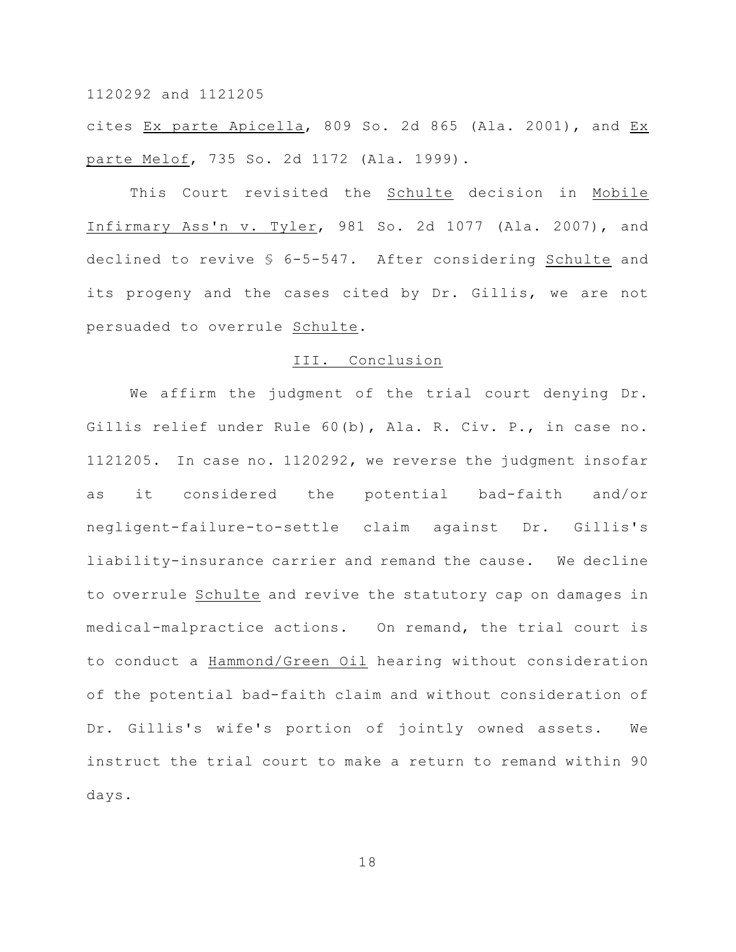cites Ex parte Apicella, 809 So. 2d 865 (Ala. 2001), and Ex parte Melof, 735 So. 2d 1172 (Ala. 1999).

This Court revisited the Schulte decision in Mobile Infirmary Ass'n v. Tyler, 981 So. 2d 1077 (Ala. 2007), and declined to revive § 6-5-547. After considering Schulte and its progeny and the cases cited by Dr. Gillis, we are not persuaded to overrule Schulte.

#### III. Conclusion

We affirm the judgment of the trial court denying Dr. Gillis relief under Rule 60(b), Ala. R. Civ. P., in case no. 1121205. In case no. 1120292, we reverse the judgment insofar as it considered the potential bad-faith and/or negligent-failure-to-settle claim against Dr. Gillis's liability-insurance carrier and remand the cause. We decline to overrule Schulte and revive the statutory cap on damages in medical-malpractice actions. On remand, the trial court is to conduct a Hammond/Green Oil hearing without consideration of the potential bad-faith claim and without consideration of Dr. Gillis's wife's portion of jointly owned assets. We instruct the trial court to make a return to remand within 90 days.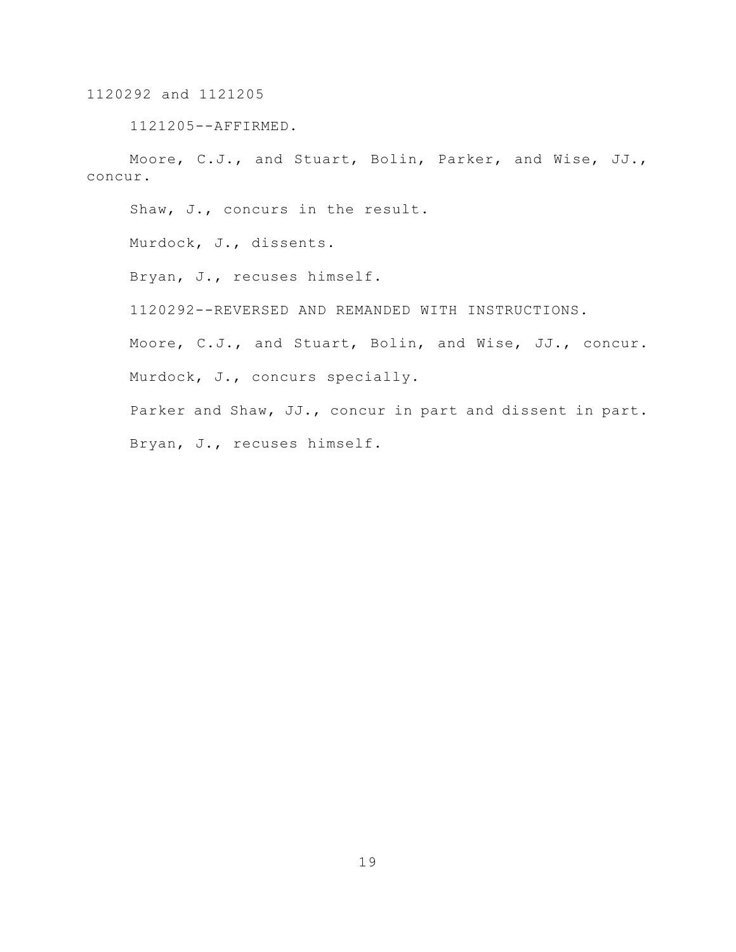1121205--AFFIRMED.

Moore, C.J., and Stuart, Bolin, Parker, and Wise, JJ., concur.

Shaw, J., concurs in the result.

Murdock, J., dissents.

Bryan, J., recuses himself.

1120292--REVERSED AND REMANDED WITH INSTRUCTIONS.

Moore, C.J., and Stuart, Bolin, and Wise, JJ., concur. Murdock, J., concurs specially.

Parker and Shaw, JJ., concur in part and dissent in part. Bryan, J., recuses himself.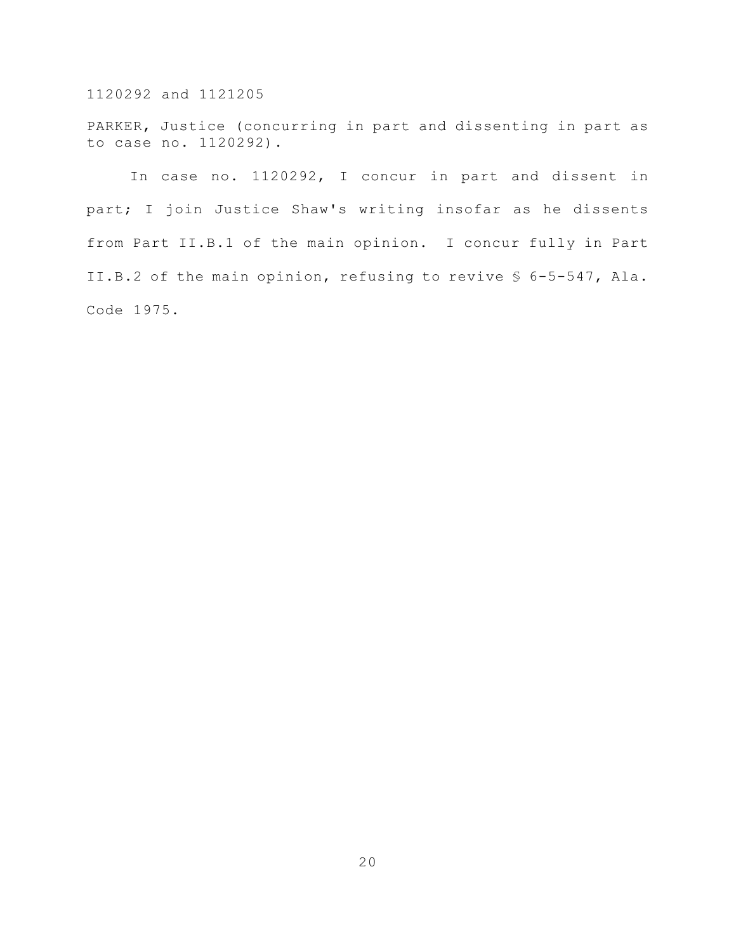PARKER, Justice (concurring in part and dissenting in part as to case no. 1120292).

In case no. 1120292, I concur in part and dissent in part; I join Justice Shaw's writing insofar as he dissents from Part II.B.1 of the main opinion. I concur fully in Part II.B.2 of the main opinion, refusing to revive § 6-5-547, Ala. Code 1975.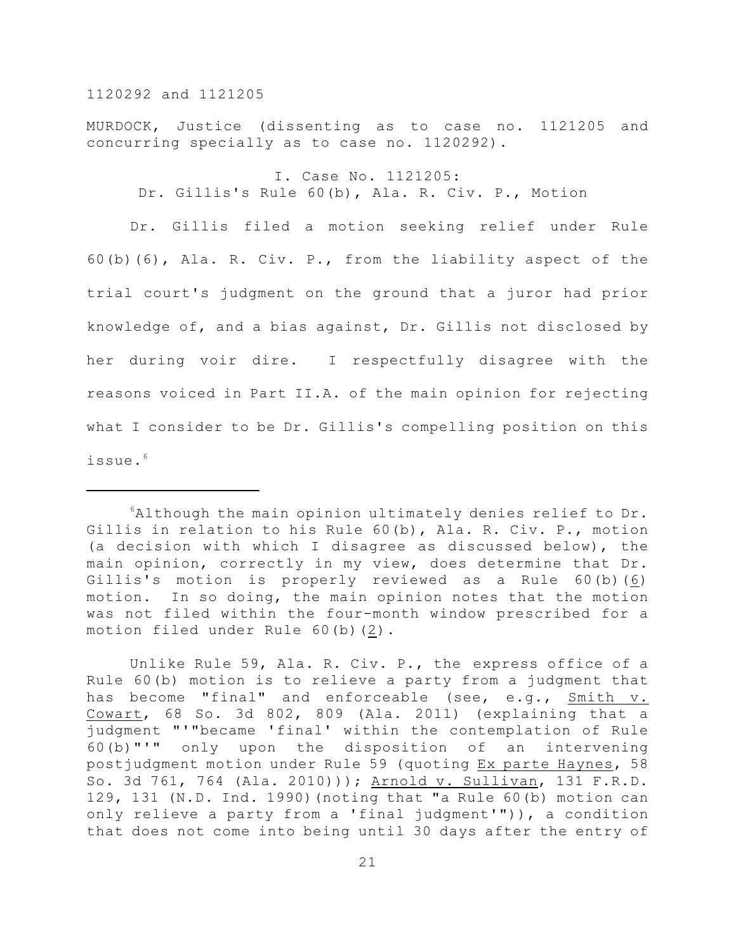MURDOCK, Justice (dissenting as to case no. 1121205 and concurring specially as to case no. 1120292).

I. Case No. 1121205: Dr. Gillis's Rule 60(b), Ala. R. Civ. P., Motion

Dr. Gillis filed a motion seeking relief under Rule 60(b)(6), Ala. R. Civ. P., from the liability aspect of the trial court's judgment on the ground that a juror had prior knowledge of, and a bias against, Dr. Gillis not disclosed by her during voir dire. I respectfully disagree with the reasons voiced in Part II.A. of the main opinion for rejecting what I consider to be Dr. Gillis's compelling position on this issue.<sup>6</sup>

 $6$ Although the main opinion ultimately denies relief to Dr. Gillis in relation to his Rule 60(b), Ala. R. Civ. P., motion (a decision with which I disagree as discussed below), the main opinion, correctly in my view, does determine that Dr. Gillis's motion is properly reviewed as a Rule 60(b)(6) motion. In so doing, the main opinion notes that the motion was not filed within the four-month window prescribed for a motion filed under Rule 60(b)(2).

Unlike Rule 59, Ala. R. Civ. P., the express office of a Rule 60(b) motion is to relieve a party from a judgment that has become "final" and enforceable (see, e.g., Smith v. Cowart, 68 So. 3d 802, 809 (Ala. 2011) (explaining that a judgment "'"became 'final' within the contemplation of Rule 60(b)"'" only upon the disposition of an intervening postjudgment motion under Rule 59 (quoting Ex parte Haynes, 58 So. 3d 761, 764 (Ala. 2010))); Arnold v. Sullivan, 131 F.R.D. 129, 131 (N.D. Ind. 1990)(noting that "a Rule 60(b) motion can only relieve a party from a 'final judgment'")), a condition that does not come into being until 30 days after the entry of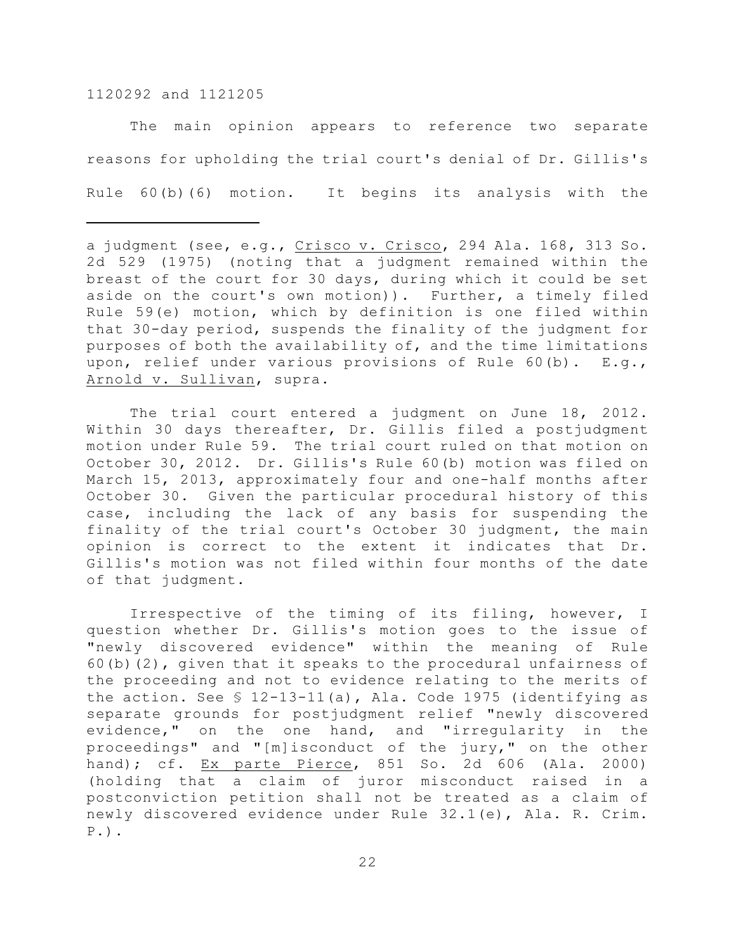The main opinion appears to reference two separate reasons for upholding the trial court's denial of Dr. Gillis's Rule 60(b)(6) motion. It begins its analysis with the

The trial court entered a judgment on June 18, 2012. Within 30 days thereafter, Dr. Gillis filed a postjudgment motion under Rule 59. The trial court ruled on that motion on October 30, 2012. Dr. Gillis's Rule 60(b) motion was filed on March 15, 2013, approximately four and one-half months after October 30. Given the particular procedural history of this case, including the lack of any basis for suspending the finality of the trial court's October 30 judgment, the main opinion is correct to the extent it indicates that Dr. Gillis's motion was not filed within four months of the date of that judgment.

Irrespective of the timing of its filing, however, I question whether Dr. Gillis's motion goes to the issue of "newly discovered evidence" within the meaning of Rule 60(b)(2), given that it speaks to the procedural unfairness of the proceeding and not to evidence relating to the merits of the action. See § 12-13-11(a), Ala. Code 1975 (identifying as separate grounds for postjudgment relief "newly discovered evidence," on the one hand, and "irregularity in the proceedings" and "[m]isconduct of the jury," on the other hand); cf. Ex parte Pierce, 851 So. 2d 606 (Ala. 2000) (holding that a claim of juror misconduct raised in a postconviction petition shall not be treated as a claim of newly discovered evidence under Rule 32.1(e), Ala. R. Crim. P.).

a judgment (see, e.g., Crisco v. Crisco, 294 Ala. 168, 313 So. 2d 529 (1975) (noting that a judgment remained within the breast of the court for 30 days, during which it could be set aside on the court's own motion)). Further, a timely filed Rule 59(e) motion, which by definition is one filed within that 30-day period, suspends the finality of the judgment for purposes of both the availability of, and the time limitations upon, relief under various provisions of Rule 60(b). E.g., Arnold v. Sullivan, supra.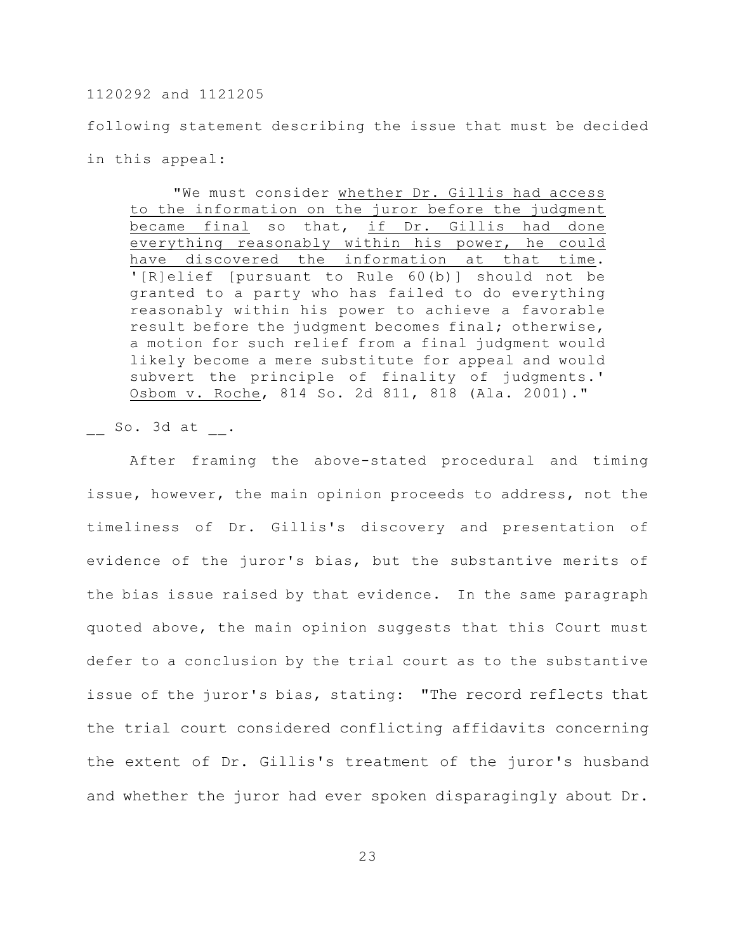following statement describing the issue that must be decided in this appeal:

"We must consider whether Dr. Gillis had access to the information on the juror before the judgment became final so that, if Dr. Gillis had done everything reasonably within his power, he could have discovered the information at that time. '[R]elief [pursuant to Rule 60(b)] should not be granted to a party who has failed to do everything reasonably within his power to achieve a favorable result before the judgment becomes final; otherwise, a motion for such relief from a final judgment would likely become a mere substitute for appeal and would subvert the principle of finality of judgments.' Osbom v. Roche, 814 So. 2d 811, 818 (Ala. 2001)."

 $So. 3d at .$ 

After framing the above-stated procedural and timing issue, however, the main opinion proceeds to address, not the timeliness of Dr. Gillis's discovery and presentation of evidence of the juror's bias, but the substantive merits of the bias issue raised by that evidence. In the same paragraph quoted above, the main opinion suggests that this Court must defer to a conclusion by the trial court as to the substantive issue of the juror's bias, stating: "The record reflects that the trial court considered conflicting affidavits concerning the extent of Dr. Gillis's treatment of the juror's husband and whether the juror had ever spoken disparagingly about Dr.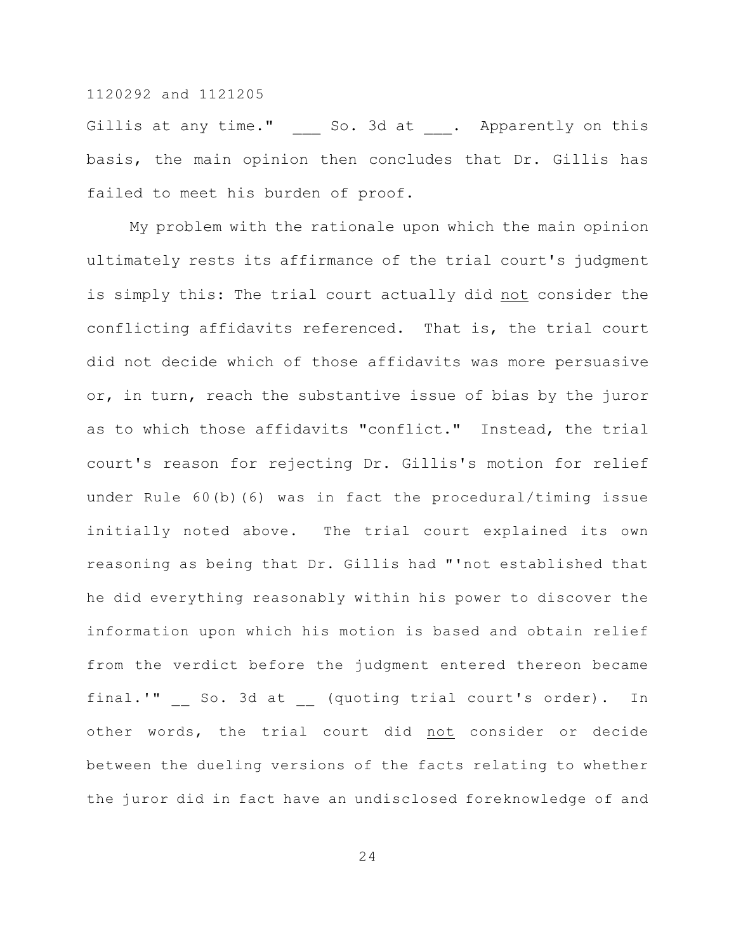Gillis at any time." \_\_\_\_\_ So. 3d at . Apparently on this basis, the main opinion then concludes that Dr. Gillis has failed to meet his burden of proof.

My problem with the rationale upon which the main opinion ultimately rests its affirmance of the trial court's judgment is simply this: The trial court actually did not consider the conflicting affidavits referenced. That is, the trial court did not decide which of those affidavits was more persuasive or, in turn, reach the substantive issue of bias by the juror as to which those affidavits "conflict." Instead, the trial court's reason for rejecting Dr. Gillis's motion for relief under Rule 60(b)(6) was in fact the procedural/timing issue initially noted above. The trial court explained its own reasoning as being that Dr. Gillis had "'not established that he did everything reasonably within his power to discover the information upon which his motion is based and obtain relief from the verdict before the judgment entered thereon became final.'" So. 3d at (quoting trial court's order). In other words, the trial court did not consider or decide between the dueling versions of the facts relating to whether the juror did in fact have an undisclosed foreknowledge of and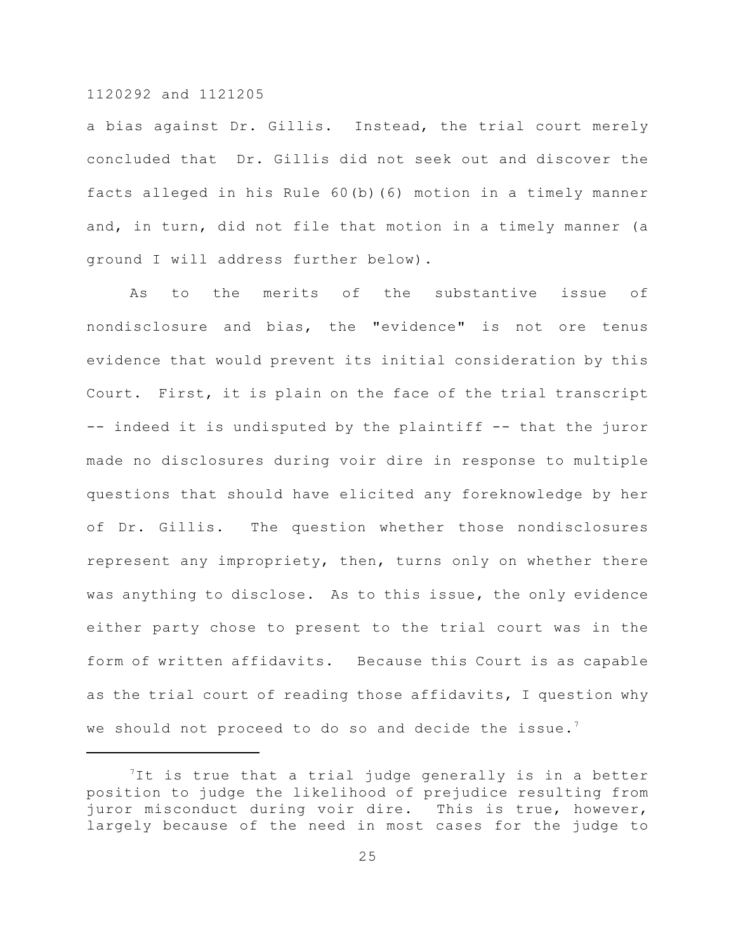a bias against Dr. Gillis. Instead, the trial court merely concluded that Dr. Gillis did not seek out and discover the facts alleged in his Rule 60(b)(6) motion in a timely manner and, in turn, did not file that motion in a timely manner (a ground I will address further below).

As to the merits of the substantive issue of nondisclosure and bias, the "evidence" is not ore tenus evidence that would prevent its initial consideration by this Court. First, it is plain on the face of the trial transcript -- indeed it is undisputed by the plaintiff -- that the juror made no disclosures during voir dire in response to multiple questions that should have elicited any foreknowledge by her of Dr. Gillis. The question whether those nondisclosures represent any impropriety, then, turns only on whether there was anything to disclose. As to this issue, the only evidence either party chose to present to the trial court was in the form of written affidavits. Because this Court is as capable as the trial court of reading those affidavits, I question why we should not proceed to do so and decide the issue.<sup>7</sup>

<sup>&</sup>lt;sup>7</sup>It is true that a trial judge generally is in a better position to judge the likelihood of prejudice resulting from juror misconduct during voir dire. This is true, however, largely because of the need in most cases for the judge to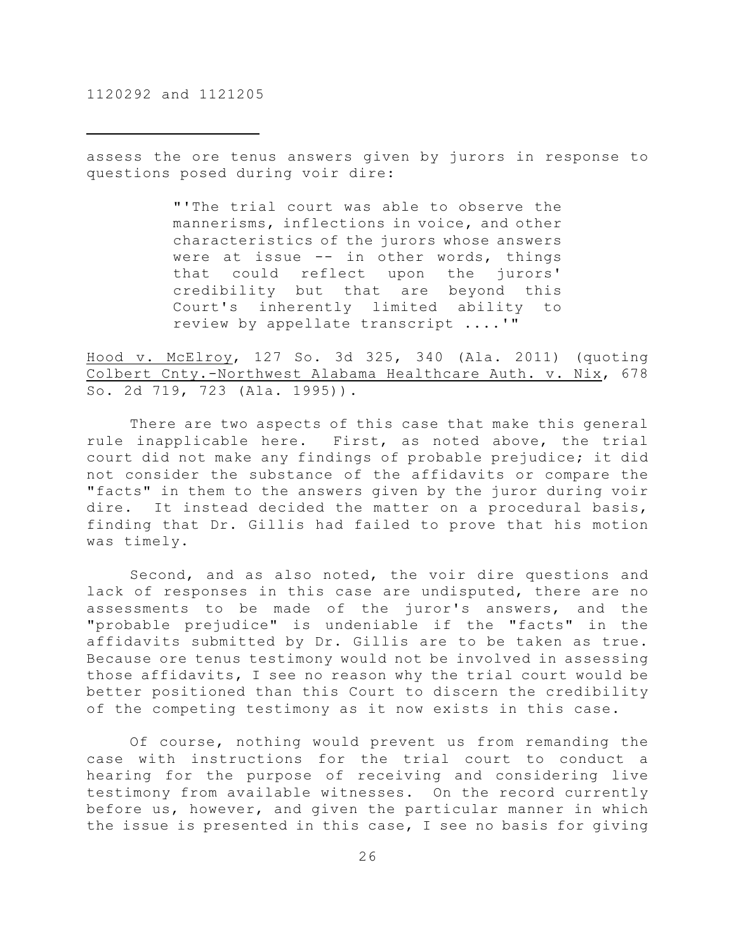assess the ore tenus answers given by jurors in response to questions posed during voir dire:

> "'The trial court was able to observe the mannerisms, inflections in voice, and other characteristics of the jurors whose answers were at issue -- in other words, things that could reflect upon the jurors' credibility but that are beyond this Court's inherently limited ability to review by appellate transcript ....'"

Hood v. McElroy, 127 So. 3d 325, 340 (Ala. 2011) (quoting Colbert Cnty.-Northwest Alabama Healthcare Auth. v. Nix, 678 So. 2d 719, 723 (Ala. 1995)).

There are two aspects of this case that make this general rule inapplicable here. First, as noted above, the trial court did not make any findings of probable prejudice; it did not consider the substance of the affidavits or compare the "facts" in them to the answers given by the juror during voir dire. It instead decided the matter on a procedural basis, finding that Dr. Gillis had failed to prove that his motion was timely.

Second, and as also noted, the voir dire questions and lack of responses in this case are undisputed, there are no assessments to be made of the juror's answers, and the "probable prejudice" is undeniable if the "facts" in the affidavits submitted by Dr. Gillis are to be taken as true. Because ore tenus testimony would not be involved in assessing those affidavits, I see no reason why the trial court would be better positioned than this Court to discern the credibility of the competing testimony as it now exists in this case.

Of course, nothing would prevent us from remanding the case with instructions for the trial court to conduct a hearing for the purpose of receiving and considering live testimony from available witnesses. On the record currently before us, however, and given the particular manner in which the issue is presented in this case, I see no basis for giving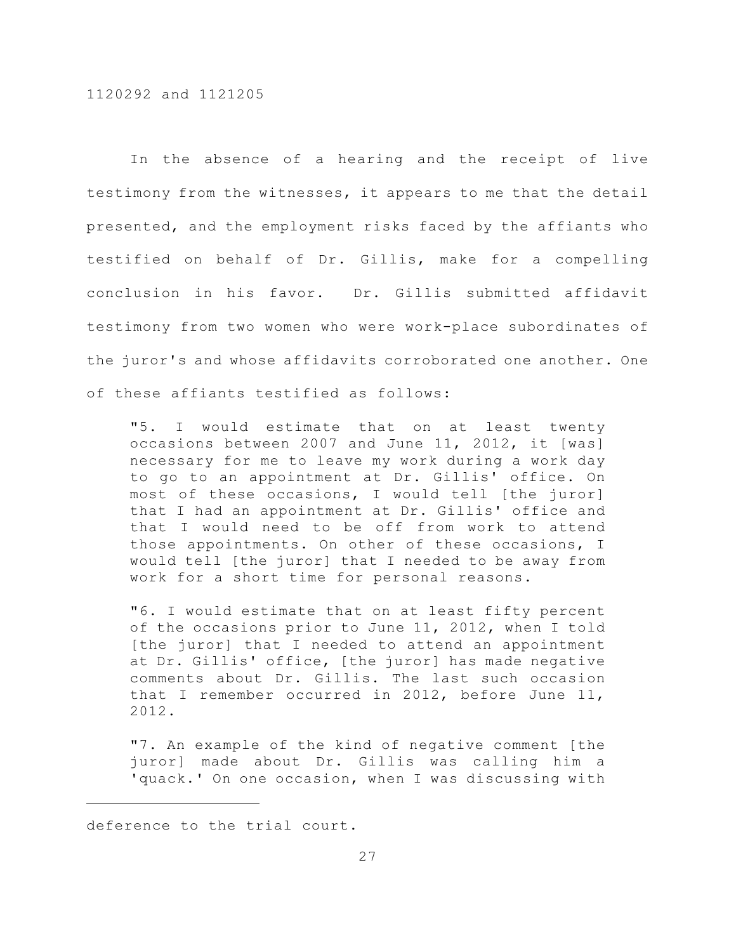In the absence of a hearing and the receipt of live testimony from the witnesses, it appears to me that the detail presented, and the employment risks faced by the affiants who testified on behalf of Dr. Gillis, make for a compelling conclusion in his favor. Dr. Gillis submitted affidavit testimony from two women who were work-place subordinates of the juror's and whose affidavits corroborated one another. One of these affiants testified as follows:

"5. I would estimate that on at least twenty occasions between 2007 and June 11, 2012, it [was] necessary for me to leave my work during a work day to go to an appointment at Dr. Gillis' office. On most of these occasions, I would tell [the juror] that I had an appointment at Dr. Gillis' office and that I would need to be off from work to attend those appointments. On other of these occasions, I would tell [the juror] that I needed to be away from work for a short time for personal reasons.

"6. I would estimate that on at least fifty percent of the occasions prior to June 11, 2012, when I told [the juror] that I needed to attend an appointment at Dr. Gillis' office, [the juror] has made negative comments about Dr. Gillis. The last such occasion that I remember occurred in 2012, before June 11, 2012.

"7. An example of the kind of negative comment [the juror] made about Dr. Gillis was calling him a 'quack.' On one occasion, when I was discussing with

deference to the trial court.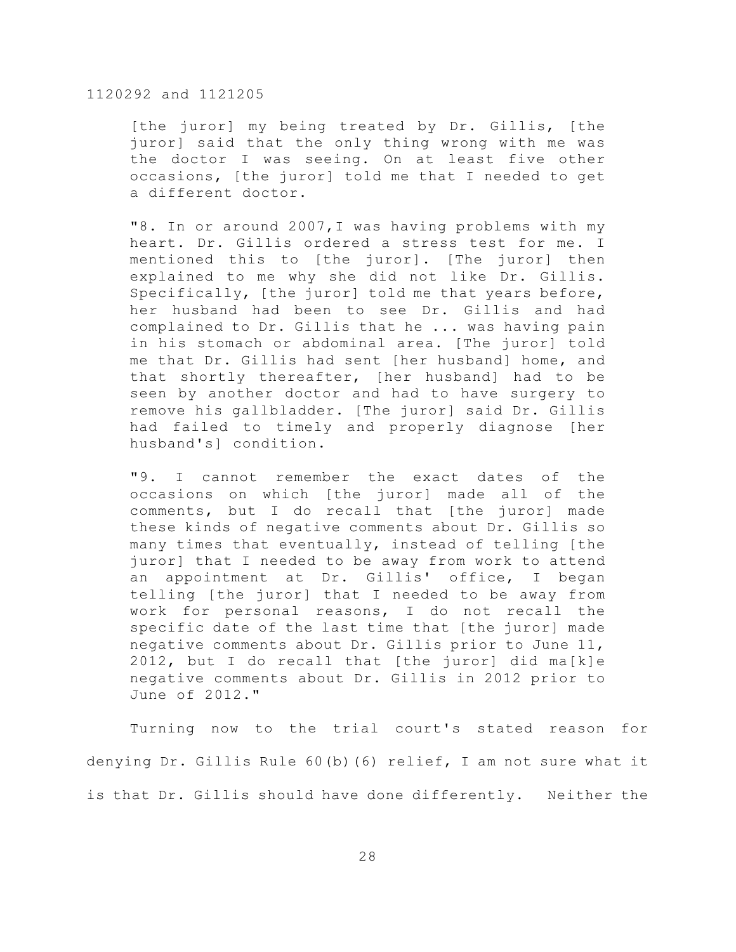[the juror] my being treated by Dr. Gillis, [the juror] said that the only thing wrong with me was the doctor I was seeing. On at least five other occasions, [the juror] told me that I needed to get a different doctor.

"8. In or around 2007,I was having problems with my heart. Dr. Gillis ordered a stress test for me. I mentioned this to [the juror]. [The juror] then explained to me why she did not like Dr. Gillis. Specifically, [the juror] told me that years before, her husband had been to see Dr. Gillis and had complained to Dr. Gillis that he ... was having pain in his stomach or abdominal area. [The juror] told me that Dr. Gillis had sent [her husband] home, and that shortly thereafter, [her husband] had to be seen by another doctor and had to have surgery to remove his gallbladder. [The juror] said Dr. Gillis had failed to timely and properly diagnose [her husband's] condition.

"9. I cannot remember the exact dates of the occasions on which [the juror] made all of the comments, but I do recall that [the juror] made these kinds of negative comments about Dr. Gillis so many times that eventually, instead of telling [the juror] that I needed to be away from work to attend an appointment at Dr. Gillis' office, I began telling [the juror] that I needed to be away from work for personal reasons, I do not recall the specific date of the last time that [the juror] made negative comments about Dr. Gillis prior to June 11, 2012, but I do recall that [the juror] did ma[k]e negative comments about Dr. Gillis in 2012 prior to June of 2012."

Turning now to the trial court's stated reason for denying Dr. Gillis Rule 60(b)(6) relief, I am not sure what it is that Dr. Gillis should have done differently. Neither the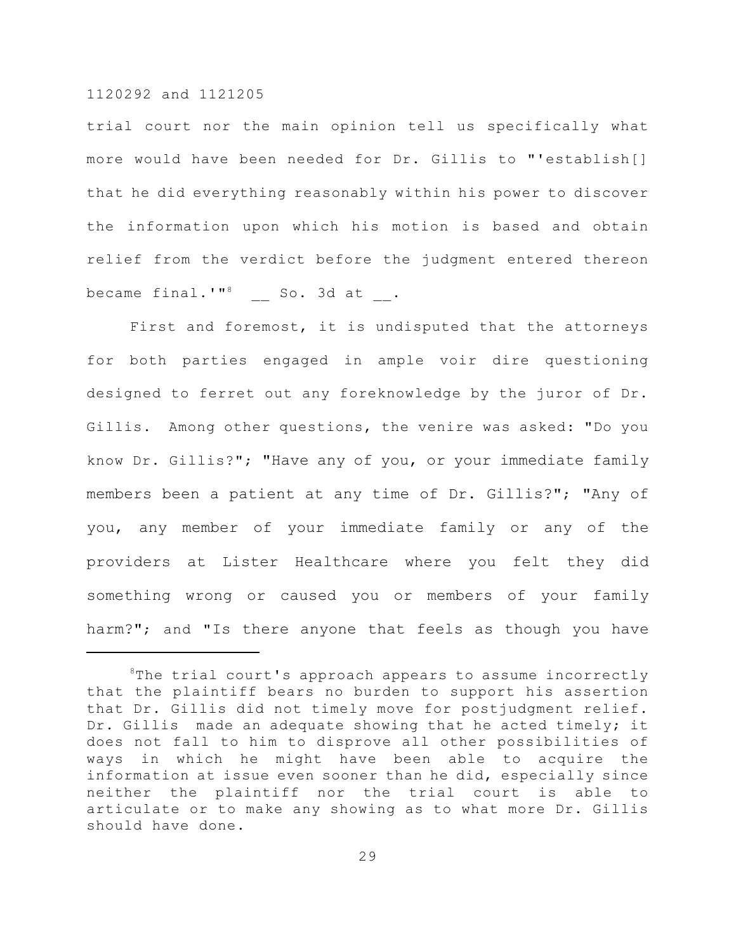trial court nor the main opinion tell us specifically what more would have been needed for Dr. Gillis to "'establish[] that he did everything reasonably within his power to discover the information upon which his motion is based and obtain relief from the verdict before the judgment entered thereon became final.'" $^8$  \_ So. 3d at \_.

First and foremost, it is undisputed that the attorneys for both parties engaged in ample voir dire questioning designed to ferret out any foreknowledge by the juror of Dr. Gillis. Among other questions, the venire was asked: "Do you know Dr. Gillis?"; "Have any of you, or your immediate family members been a patient at any time of Dr. Gillis?"; "Any of you, any member of your immediate family or any of the providers at Lister Healthcare where you felt they did something wrong or caused you or members of your family harm?"; and "Is there anyone that feels as though you have

 ${}^{\circ}$ The trial court's approach appears to assume incorrectly that the plaintiff bears no burden to support his assertion that Dr. Gillis did not timely move for postjudgment relief. Dr. Gillis made an adequate showing that he acted timely; it does not fall to him to disprove all other possibilities of ways in which he might have been able to acquire the information at issue even sooner than he did, especially since neither the plaintiff nor the trial court is able to articulate or to make any showing as to what more Dr. Gillis should have done.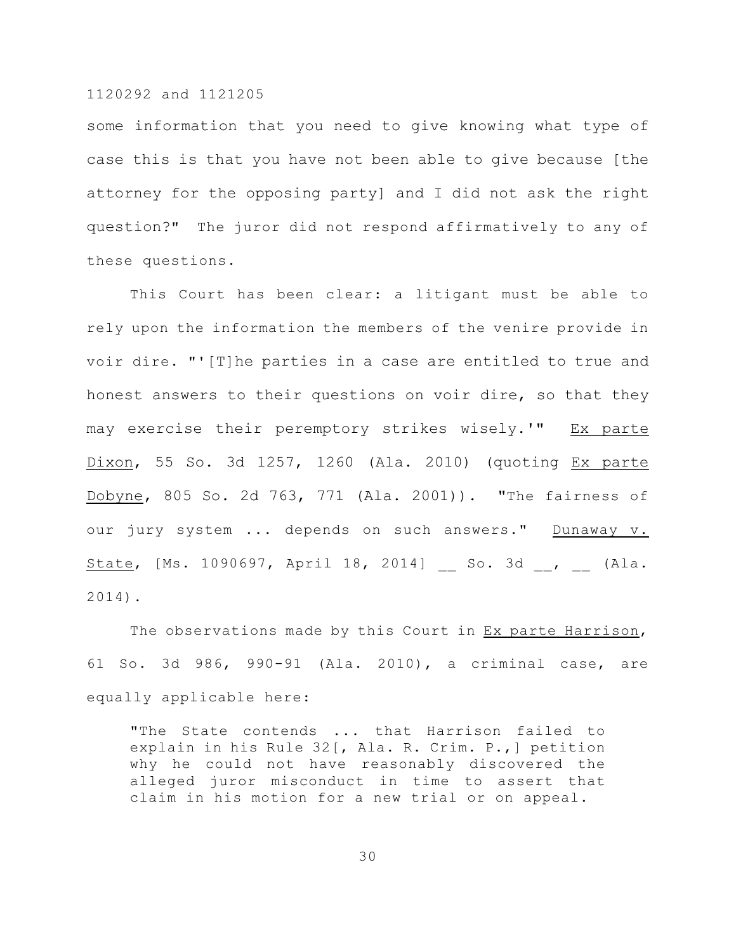some information that you need to give knowing what type of case this is that you have not been able to give because [the attorney for the opposing party] and I did not ask the right question?" The juror did not respond affirmatively to any of these questions.

This Court has been clear: a litigant must be able to rely upon the information the members of the venire provide in voir dire. "'[T]he parties in a case are entitled to true and honest answers to their questions on voir dire, so that they may exercise their peremptory strikes wisely.'" Ex parte Dixon, 55 So. 3d 1257, 1260 (Ala. 2010) (quoting Ex parte Dobyne, 805 So. 2d 763, 771 (Ala. 2001)). "The fairness of our jury system ... depends on such answers." Dunaway v. State, [Ms. 1090697, April 18, 2014] \_\_ So. 3d \_\_, \_\_ (Ala. 2014).

The observations made by this Court in Ex parte Harrison, 61 So. 3d 986, 990-91 (Ala. 2010), a criminal case, are equally applicable here:

"The State contends ... that Harrison failed to explain in his Rule 32[, Ala. R. Crim. P.,] petition why he could not have reasonably discovered the alleged juror misconduct in time to assert that claim in his motion for a new trial or on appeal.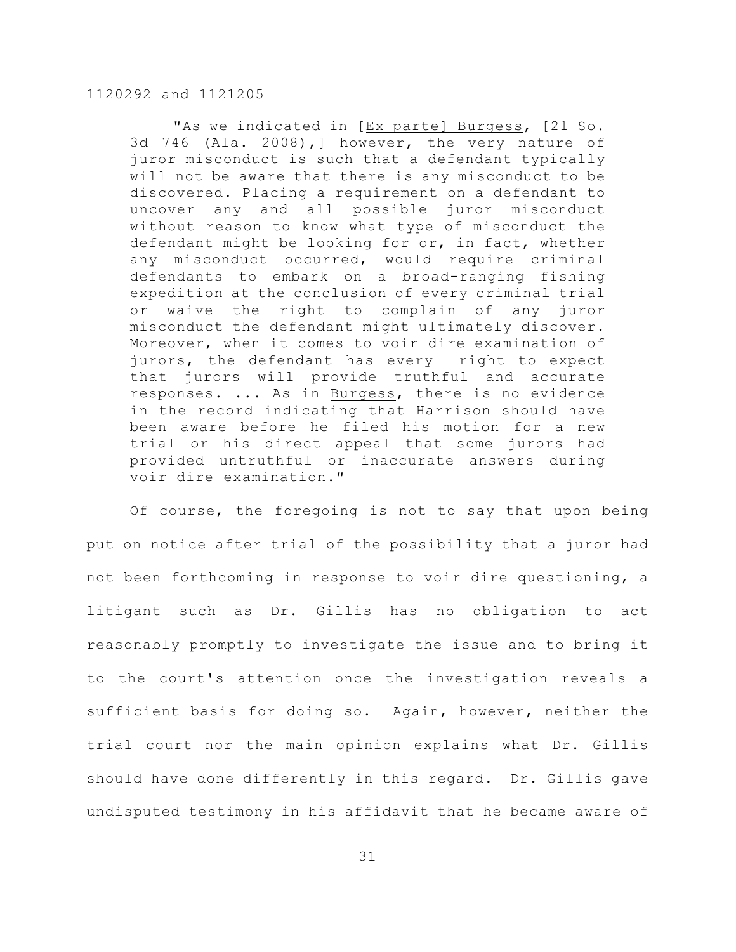"As we indicated in [Ex parte] Burgess, [21 So. 3d 746 (Ala. 2008),] however, the very nature of juror misconduct is such that a defendant typically will not be aware that there is any misconduct to be discovered. Placing a requirement on a defendant to uncover any and all possible juror misconduct without reason to know what type of misconduct the defendant might be looking for or, in fact, whether any misconduct occurred, would require criminal defendants to embark on a broad-ranging fishing expedition at the conclusion of every criminal trial or waive the right to complain of any juror misconduct the defendant might ultimately discover. Moreover, when it comes to voir dire examination of jurors, the defendant has every right to expect that jurors will provide truthful and accurate responses. ... As in Burgess, there is no evidence in the record indicating that Harrison should have been aware before he filed his motion for a new trial or his direct appeal that some jurors had provided untruthful or inaccurate answers during voir dire examination."

Of course, the foregoing is not to say that upon being put on notice after trial of the possibility that a juror had not been forthcoming in response to voir dire questioning, a litigant such as Dr. Gillis has no obligation to act reasonably promptly to investigate the issue and to bring it to the court's attention once the investigation reveals a sufficient basis for doing so. Again, however, neither the trial court nor the main opinion explains what Dr. Gillis should have done differently in this regard. Dr. Gillis gave undisputed testimony in his affidavit that he became aware of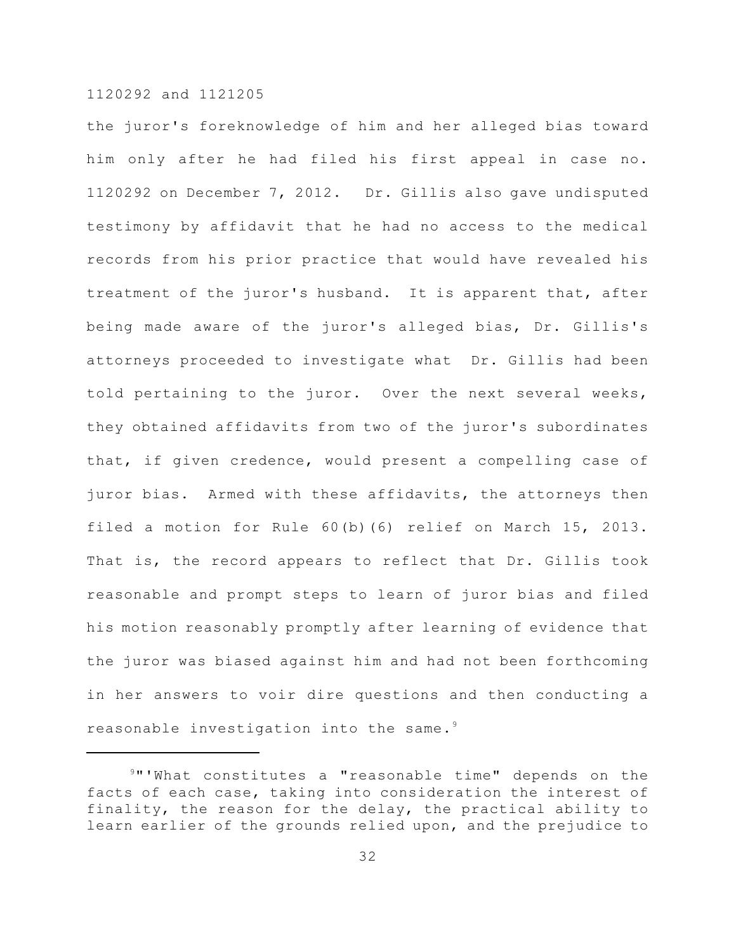the juror's foreknowledge of him and her alleged bias toward him only after he had filed his first appeal in case no. 1120292 on December 7, 2012. Dr. Gillis also gave undisputed testimony by affidavit that he had no access to the medical records from his prior practice that would have revealed his treatment of the juror's husband. It is apparent that, after being made aware of the juror's alleged bias, Dr. Gillis's attorneys proceeded to investigate what Dr. Gillis had been told pertaining to the juror. Over the next several weeks, they obtained affidavits from two of the juror's subordinates that, if given credence, would present a compelling case of juror bias. Armed with these affidavits, the attorneys then filed a motion for Rule 60(b)(6) relief on March 15, 2013. That is, the record appears to reflect that Dr. Gillis took reasonable and prompt steps to learn of juror bias and filed his motion reasonably promptly after learning of evidence that the juror was biased against him and had not been forthcoming in her answers to voir dire questions and then conducting a reasonable investigation into the same.<sup>9</sup>

<sup>&</sup>lt;sup>9</sup>"'What constitutes a "reasonable time" depends on the facts of each case, taking into consideration the interest of finality, the reason for the delay, the practical ability to learn earlier of the grounds relied upon, and the prejudice to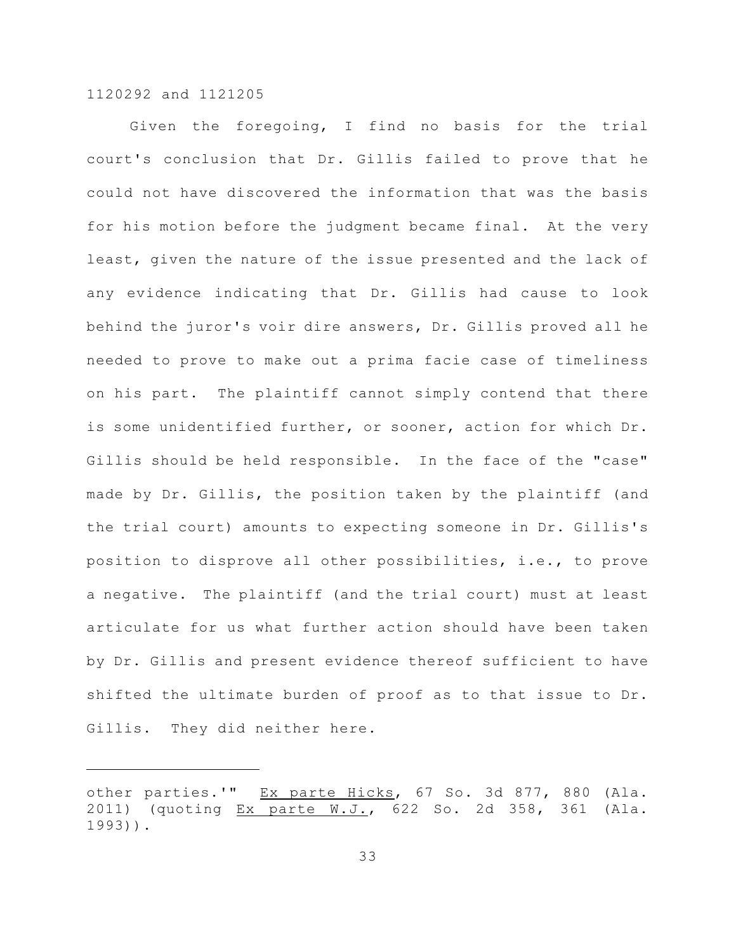Given the foregoing, I find no basis for the trial court's conclusion that Dr. Gillis failed to prove that he could not have discovered the information that was the basis for his motion before the judgment became final. At the very least, given the nature of the issue presented and the lack of any evidence indicating that Dr. Gillis had cause to look behind the juror's voir dire answers, Dr. Gillis proved all he needed to prove to make out a prima facie case of timeliness on his part. The plaintiff cannot simply contend that there is some unidentified further, or sooner, action for which Dr. Gillis should be held responsible. In the face of the "case" made by Dr. Gillis, the position taken by the plaintiff (and the trial court) amounts to expecting someone in Dr. Gillis's position to disprove all other possibilities, i.e., to prove a negative. The plaintiff (and the trial court) must at least articulate for us what further action should have been taken by Dr. Gillis and present evidence thereof sufficient to have shifted the ultimate burden of proof as to that issue to Dr. Gillis. They did neither here.

other parties.'" Ex parte Hicks, 67 So. 3d 877, 880 (Ala. 2011) (quoting Ex parte W.J., 622 So. 2d 358, 361 (Ala. 1993)).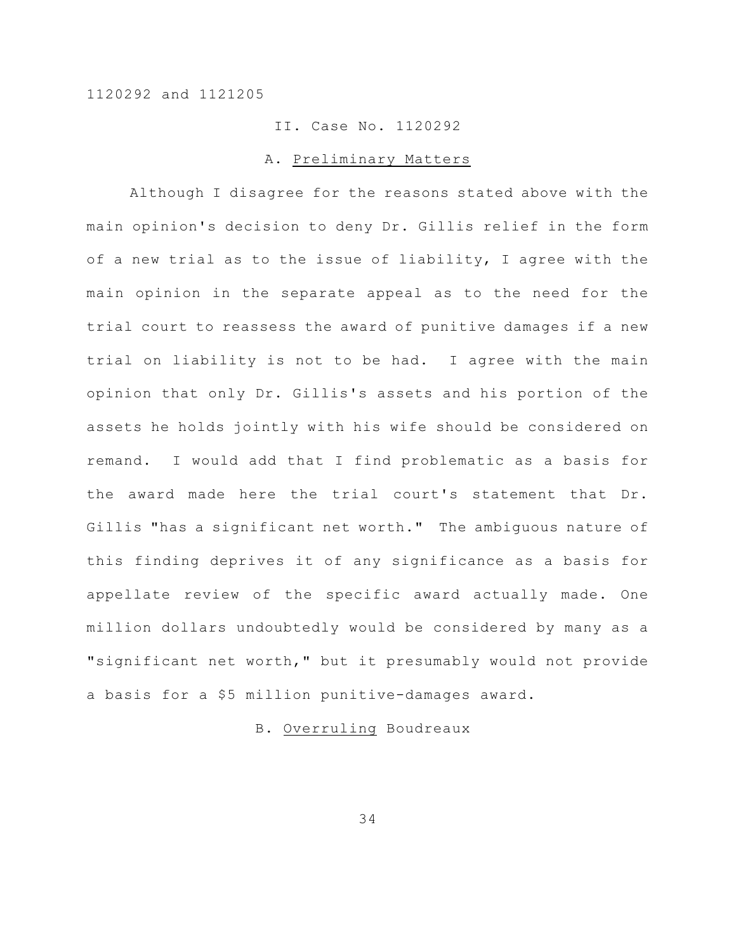# II. Case No. 1120292

#### A. Preliminary Matters

Although I disagree for the reasons stated above with the main opinion's decision to deny Dr. Gillis relief in the form of a new trial as to the issue of liability, I agree with the main opinion in the separate appeal as to the need for the trial court to reassess the award of punitive damages if a new trial on liability is not to be had. I agree with the main opinion that only Dr. Gillis's assets and his portion of the assets he holds jointly with his wife should be considered on remand. I would add that I find problematic as a basis for the award made here the trial court's statement that Dr. Gillis "has a significant net worth." The ambiguous nature of this finding deprives it of any significance as a basis for appellate review of the specific award actually made. One million dollars undoubtedly would be considered by many as a "significant net worth," but it presumably would not provide a basis for a \$5 million punitive-damages award.

# B. Overruling Boudreaux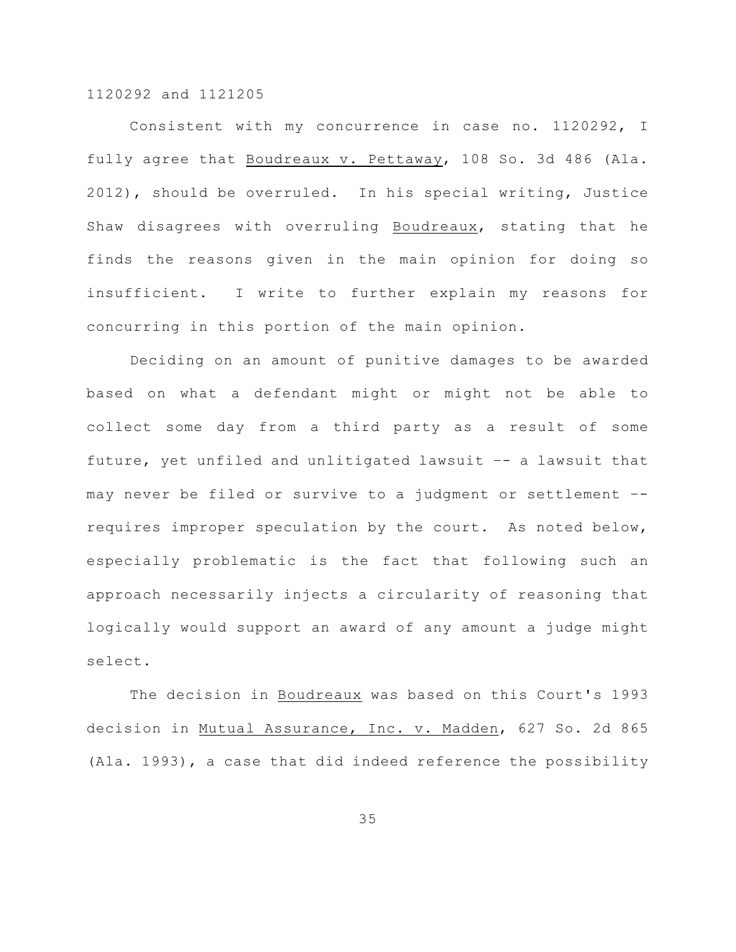Consistent with my concurrence in case no. 1120292, I fully agree that Boudreaux v. Pettaway, 108 So. 3d 486 (Ala. 2012), should be overruled. In his special writing, Justice Shaw disagrees with overruling Boudreaux, stating that he finds the reasons given in the main opinion for doing so insufficient. I write to further explain my reasons for concurring in this portion of the main opinion.

Deciding on an amount of punitive damages to be awarded based on what a defendant might or might not be able to collect some day from a third party as a result of some future, yet unfiled and unlitigated lawsuit –- a lawsuit that may never be filed or survive to a judgment or settlement – requires improper speculation by the court. As noted below, especially problematic is the fact that following such an approach necessarily injects a circularity of reasoning that logically would support an award of any amount a judge might select.

The decision in Boudreaux was based on this Court's 1993 decision in Mutual Assurance, Inc. v. Madden, 627 So. 2d 865 (Ala. 1993), a case that did indeed reference the possibility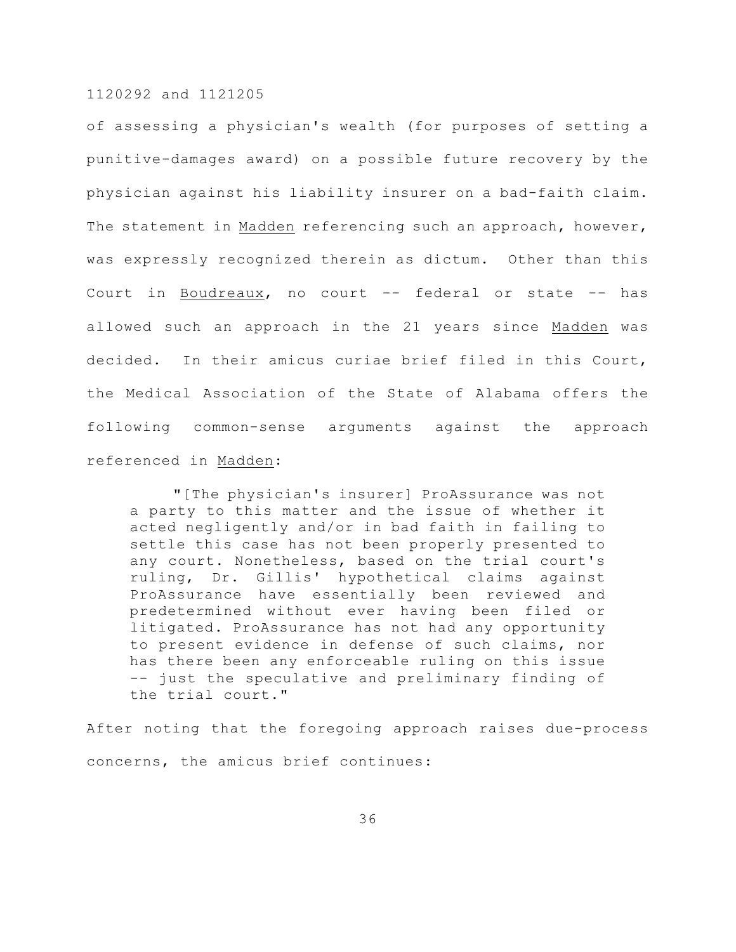of assessing a physician's wealth (for purposes of setting a punitive-damages award) on a possible future recovery by the physician against his liability insurer on a bad-faith claim. The statement in Madden referencing such an approach, however, was expressly recognized therein as dictum. Other than this Court in Boudreaux, no court -- federal or state -- has allowed such an approach in the 21 years since Madden was decided. In their amicus curiae brief filed in this Court, the Medical Association of the State of Alabama offers the following common-sense arguments against the approach referenced in Madden:

"[The physician's insurer] ProAssurance was not a party to this matter and the issue of whether it acted negligently and/or in bad faith in failing to settle this case has not been properly presented to any court. Nonetheless, based on the trial court's ruling, Dr. Gillis' hypothetical claims against ProAssurance have essentially been reviewed and predetermined without ever having been filed or litigated. ProAssurance has not had any opportunity to present evidence in defense of such claims, nor has there been any enforceable ruling on this issue -- just the speculative and preliminary finding of the trial court."

After noting that the foregoing approach raises due-process concerns, the amicus brief continues: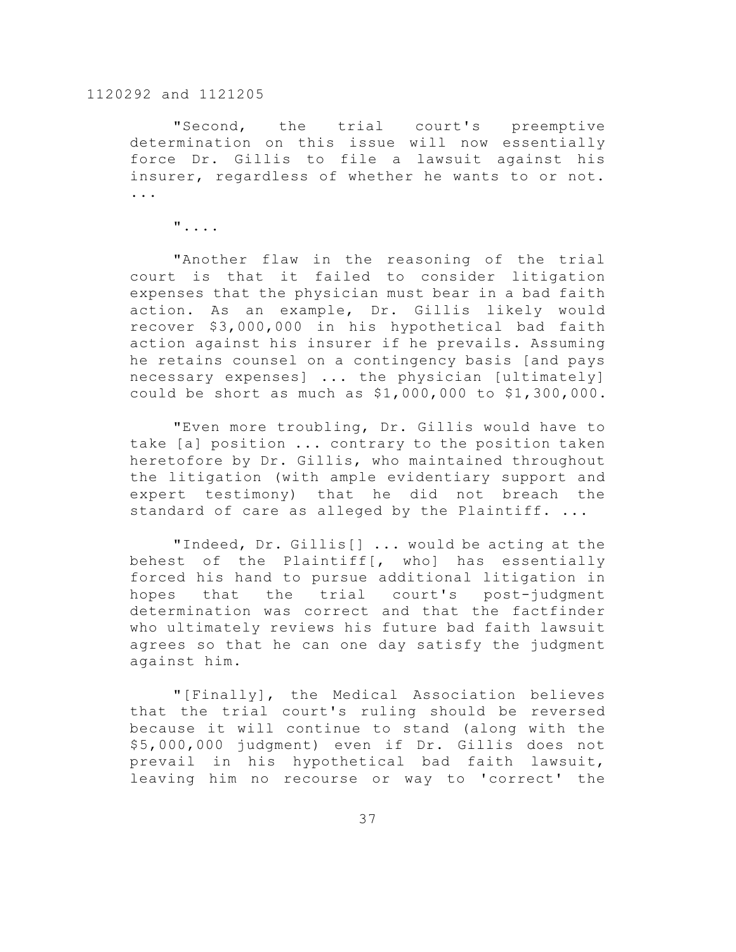"Second, the trial court's preemptive determination on this issue will now essentially force Dr. Gillis to file a lawsuit against his insurer, regardless of whether he wants to or not. ...

"....

"Another flaw in the reasoning of the trial court is that it failed to consider litigation expenses that the physician must bear in a bad faith action. As an example, Dr. Gillis likely would recover \$3,000,000 in his hypothetical bad faith action against his insurer if he prevails. Assuming he retains counsel on a contingency basis [and pays necessary expenses] ... the physician [ultimately] could be short as much as \$1,000,000 to \$1,300,000.

"Even more troubling, Dr. Gillis would have to take [a] position ... contrary to the position taken heretofore by Dr. Gillis, who maintained throughout the litigation (with ample evidentiary support and expert testimony) that he did not breach the standard of care as alleged by the Plaintiff. ...

"Indeed, Dr. Gillis[] ... would be acting at the behest of the Plaintiff[, who] has essentially forced his hand to pursue additional litigation in hopes that the trial court's post-judgment determination was correct and that the factfinder who ultimately reviews his future bad faith lawsuit agrees so that he can one day satisfy the judgment against him.

"[Finally], the Medical Association believes that the trial court's ruling should be reversed because it will continue to stand (along with the \$5,000,000 judgment) even if Dr. Gillis does not prevail in his hypothetical bad faith lawsuit, leaving him no recourse or way to 'correct' the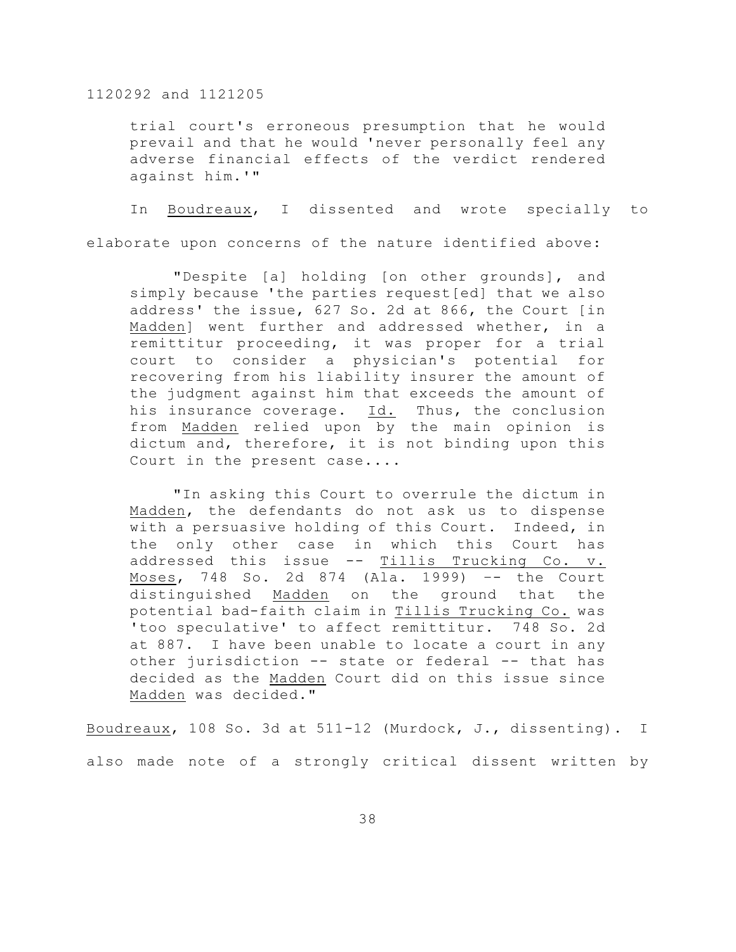trial court's erroneous presumption that he would prevail and that he would 'never personally feel any adverse financial effects of the verdict rendered against him.'"

In Boudreaux, I dissented and wrote specially to elaborate upon concerns of the nature identified above:

"Despite [a] holding [on other grounds], and simply because 'the parties request[ed] that we also address' the issue, 627 So. 2d at 866, the Court [in Madden] went further and addressed whether, in a remittitur proceeding, it was proper for a trial court to consider a physician's potential for recovering from his liability insurer the amount of the judgment against him that exceeds the amount of his insurance coverage. Id. Thus, the conclusion from Madden relied upon by the main opinion is dictum and, therefore, it is not binding upon this Court in the present case....

"In asking this Court to overrule the dictum in Madden, the defendants do not ask us to dispense with a persuasive holding of this Court. Indeed, in the only other case in which this Court has addressed this issue -- Tillis Trucking Co. v. Moses, 748 So. 2d 874 (Ala. 1999) –- the Court distinguished Madden on the ground that the potential bad-faith claim in Tillis Trucking Co. was 'too speculative' to affect remittitur. 748 So. 2d at 887. I have been unable to locate a court in any other jurisdiction -- state or federal -- that has decided as the Madden Court did on this issue since Madden was decided."

Boudreaux, 108 So. 3d at 511-12 (Murdock, J., dissenting). I also made note of a strongly critical dissent written by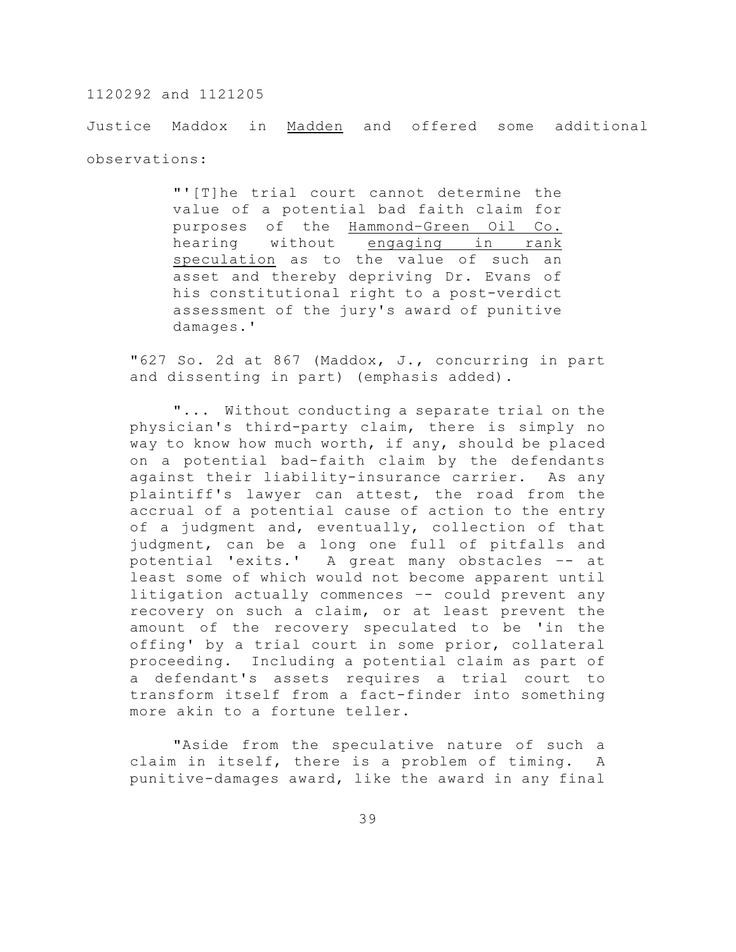Justice Maddox in Madden and offered some additional observations:

> "'[T]he trial court cannot determine the value of a potential bad faith claim for purposes of the Hammond–Green Oil Co. hearing without engaging in rank speculation as to the value of such an asset and thereby depriving Dr. Evans of his constitutional right to a post-verdict assessment of the jury's award of punitive damages.'

"627 So. 2d at 867 (Maddox, J., concurring in part and dissenting in part) (emphasis added).

"... Without conducting a separate trial on the physician's third-party claim, there is simply no way to know how much worth, if any, should be placed on a potential bad-faith claim by the defendants against their liability-insurance carrier. As any plaintiff's lawyer can attest, the road from the accrual of a potential cause of action to the entry of a judgment and, eventually, collection of that judgment, can be a long one full of pitfalls and potential 'exits.' A great many obstacles –- at least some of which would not become apparent until litigation actually commences –- could prevent any recovery on such a claim, or at least prevent the amount of the recovery speculated to be 'in the offing' by a trial court in some prior, collateral proceeding. Including a potential claim as part of a defendant's assets requires a trial court to transform itself from a fact-finder into something more akin to a fortune teller.

"Aside from the speculative nature of such a claim in itself, there is a problem of timing. A punitive-damages award, like the award in any final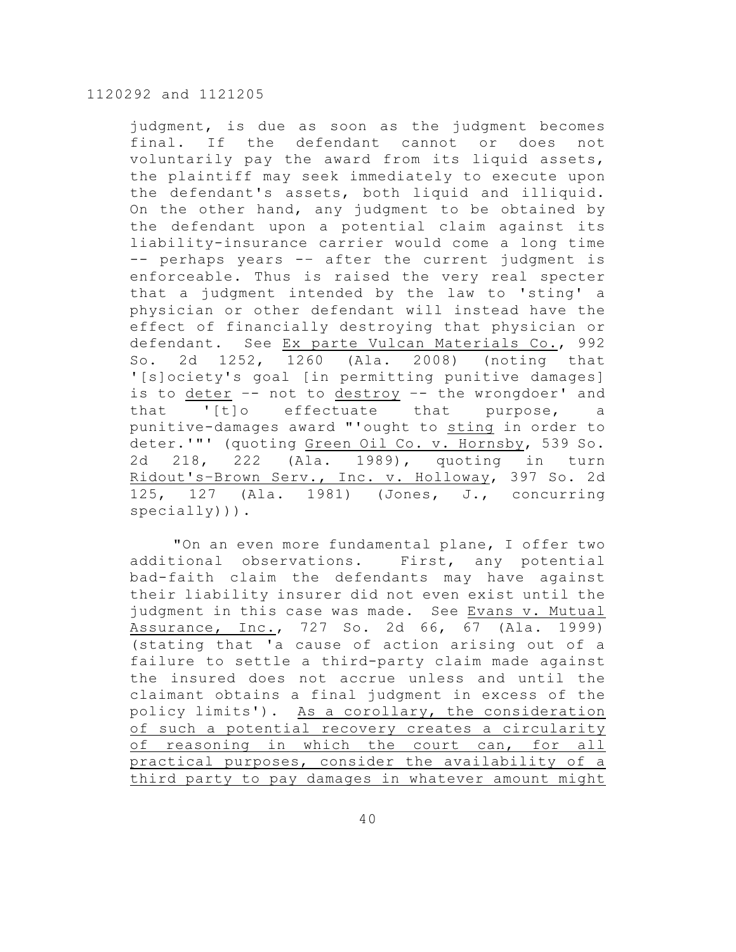judgment, is due as soon as the judgment becomes final. If the defendant cannot or does not voluntarily pay the award from its liquid assets, the plaintiff may seek immediately to execute upon the defendant's assets, both liquid and illiquid. On the other hand, any judgment to be obtained by the defendant upon a potential claim against its liability-insurance carrier would come a long time -- perhaps years -– after the current judgment is enforceable. Thus is raised the very real specter that a judgment intended by the law to 'sting' a physician or other defendant will instead have the effect of financially destroying that physician or defendant. See Ex parte Vulcan Materials Co., 992 So. 2d 1252, 1260 (Ala. 2008) (noting that '[s]ociety's goal [in permitting punitive damages] is to deter -- not to destroy -- the wrongdoer' and that '[t]o effectuate that purpose, a punitive-damages award "'ought to sting in order to deter.'"' (quoting Green Oil Co. v. Hornsby, 539 So. 2d 218, 222 (Ala. 1989), quoting in turn Ridout's–Brown Serv., Inc. v. Holloway, 397 So. 2d 125, 127 (Ala. 1981) (Jones, J., concurring specially))).

"On an even more fundamental plane, I offer two additional observations. First, any potential bad-faith claim the defendants may have against their liability insurer did not even exist until the judgment in this case was made. See Evans v. Mutual Assurance, Inc., 727 So. 2d 66, 67 (Ala. 1999) (stating that 'a cause of action arising out of a failure to settle a third-party claim made against the insured does not accrue unless and until the claimant obtains a final judgment in excess of the policy limits'). As a corollary, the consideration of such a potential recovery creates a circularity of reasoning in which the court can, for all practical purposes, consider the availability of a third party to pay damages in whatever amount might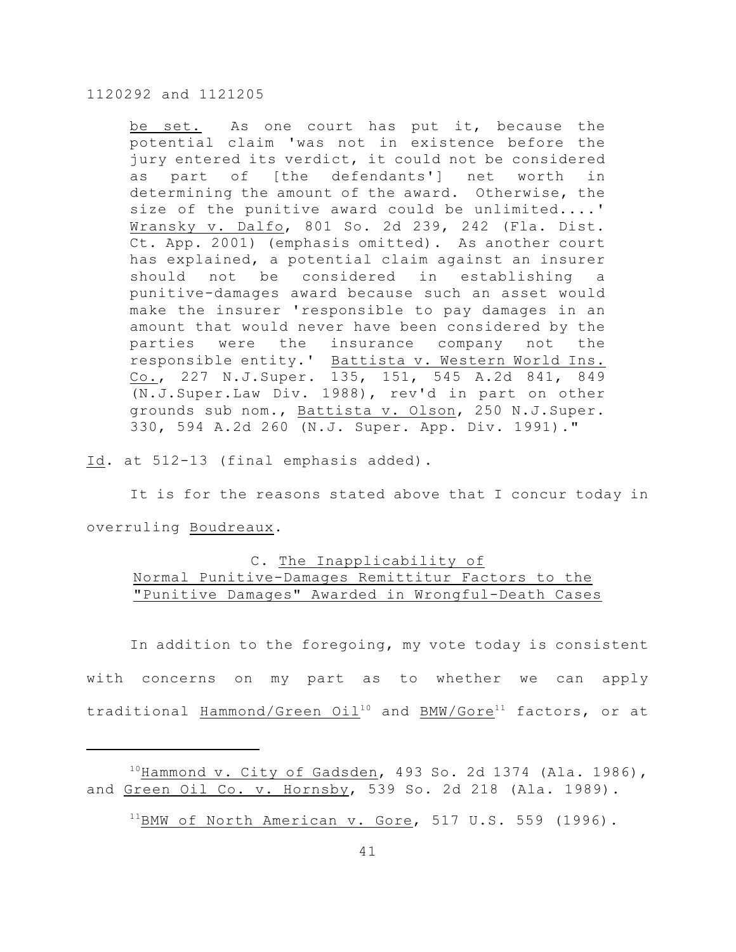be set. As one court has put it, because the potential claim 'was not in existence before the jury entered its verdict, it could not be considered as part of [the defendants'] net worth in determining the amount of the award. Otherwise, the size of the punitive award could be unlimited....' Wransky v. Dalfo, 801 So. 2d 239, 242 (Fla. Dist. Ct. App. 2001) (emphasis omitted). As another court has explained, a potential claim against an insurer should not be considered in establishing a punitive-damages award because such an asset would make the insurer 'responsible to pay damages in an amount that would never have been considered by the parties were the insurance company not the responsible entity.' Battista v. Western World Ins. Co., 227 N.J.Super. 135, 151, 545 A.2d 841, 849 (N.J.Super.Law Div. 1988), rev'd in part on other grounds sub nom., Battista v. Olson, 250 N.J.Super. 330, 594 A.2d 260 (N.J. Super. App. Div. 1991)."

Id. at 512-13 (final emphasis added).

It is for the reasons stated above that I concur today in overruling Boudreaux.

# C. The Inapplicability of Normal Punitive-Damages Remittitur Factors to the "Punitive Damages" Awarded in Wrongful-Death Cases

In addition to the foregoing, my vote today is consistent with concerns on my part as to whether we can apply traditional Hammond/Green Oil<sup>10</sup> and BMW/Gore<sup>11</sup> factors, or at

 $^{10}$ Hammond v. City of Gadsden, 493 So. 2d 1374 (Ala. 1986), and Green Oil Co. v. Hornsby, 539 So. 2d 218 (Ala. 1989).

 $^{11}$ BMW of North American v. Gore, 517 U.S. 559 (1996).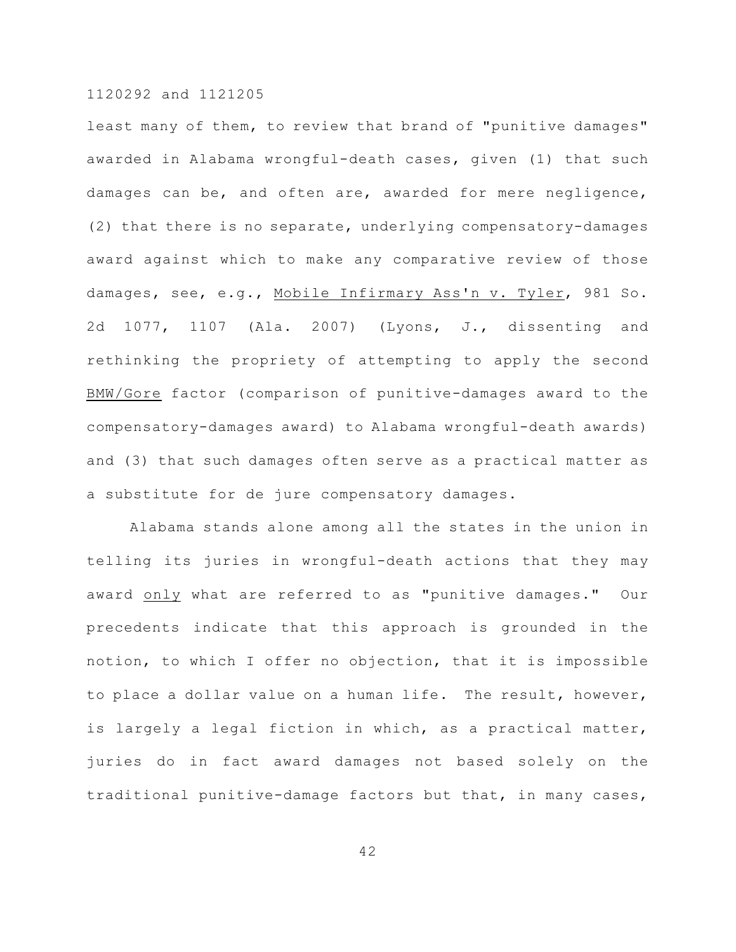least many of them, to review that brand of "punitive damages" awarded in Alabama wrongful-death cases, given (1) that such damages can be, and often are, awarded for mere negligence, (2) that there is no separate, underlying compensatory-damages award against which to make any comparative review of those damages, see, e.g., Mobile Infirmary Ass'n v. Tyler, 981 So. 2d 1077, 1107 (Ala. 2007) (Lyons, J., dissenting and rethinking the propriety of attempting to apply the second BMW/Gore factor (comparison of punitive-damages award to the compensatory-damages award) to Alabama wrongful-death awards) and (3) that such damages often serve as a practical matter as a substitute for de jure compensatory damages.

Alabama stands alone among all the states in the union in telling its juries in wrongful-death actions that they may award only what are referred to as "punitive damages." Our precedents indicate that this approach is grounded in the notion, to which I offer no objection, that it is impossible to place a dollar value on a human life. The result, however, is largely a legal fiction in which, as a practical matter, juries do in fact award damages not based solely on the traditional punitive-damage factors but that, in many cases,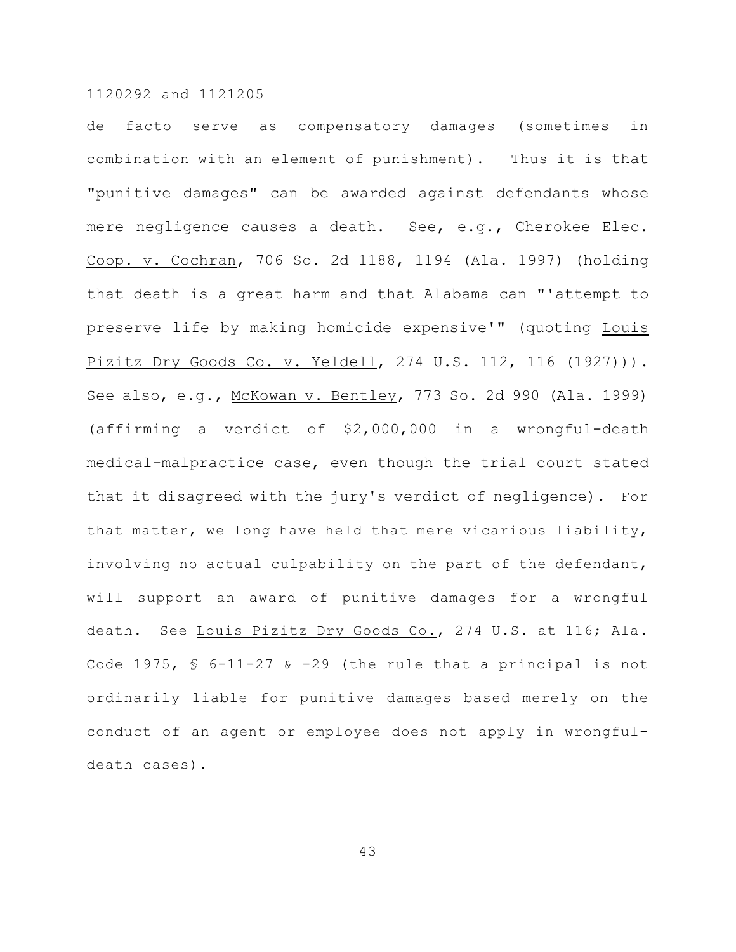de facto serve as compensatory damages (sometimes in combination with an element of punishment). Thus it is that "punitive damages" can be awarded against defendants whose mere negligence causes a death. See, e.g., Cherokee Elec. Coop. v. Cochran, 706 So. 2d 1188, 1194 (Ala. 1997) (holding that death is a great harm and that Alabama can "'attempt to preserve life by making homicide expensive'" (quoting Louis Pizitz Dry Goods Co. v. Yeldell, 274 U.S. 112, 116 (1927))). See also, e.g., McKowan v. Bentley, 773 So. 2d 990 (Ala. 1999) (affirming a verdict of \$2,000,000 in a wrongful-death medical-malpractice case, even though the trial court stated that it disagreed with the jury's verdict of negligence). For that matter, we long have held that mere vicarious liability, involving no actual culpability on the part of the defendant, will support an award of punitive damages for a wrongful death. See Louis Pizitz Dry Goods Co., 274 U.S. at 116; Ala. Code 1975,  $\frac{1}{5}$  6-11-27 & -29 (the rule that a principal is not ordinarily liable for punitive damages based merely on the conduct of an agent or employee does not apply in wrongfuldeath cases).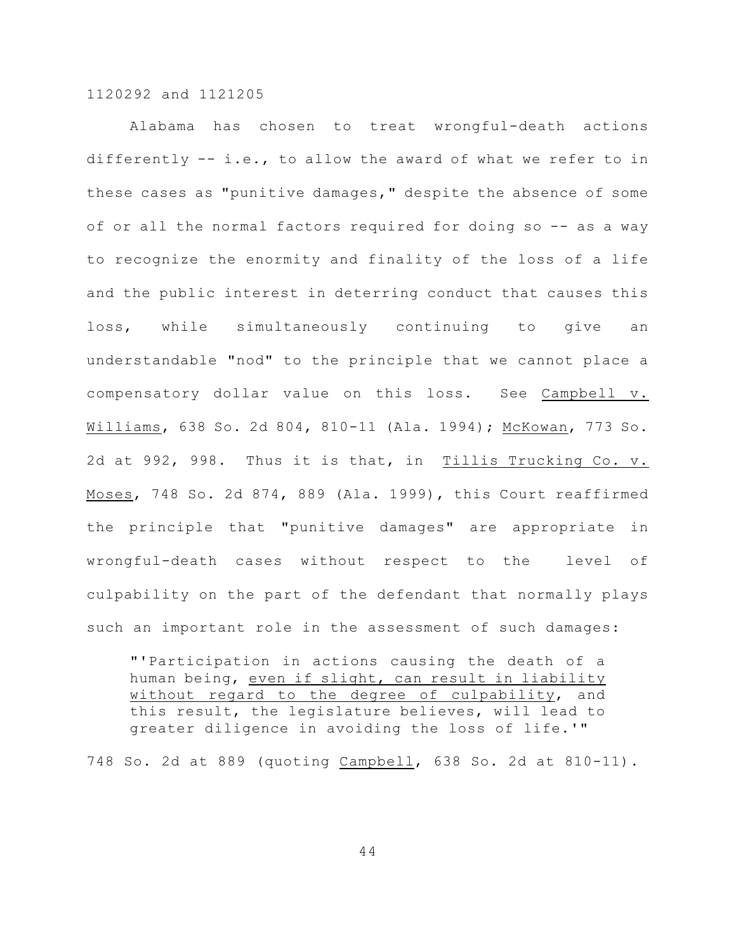Alabama has chosen to treat wrongful-death actions differently -- i.e., to allow the award of what we refer to in these cases as "punitive damages," despite the absence of some of or all the normal factors required for doing so -- as a way to recognize the enormity and finality of the loss of a life and the public interest in deterring conduct that causes this loss, while simultaneously continuing to give an understandable "nod" to the principle that we cannot place a compensatory dollar value on this loss. See Campbell v. Williams, 638 So. 2d 804, 810-11 (Ala. 1994); McKowan, 773 So. 2d at 992, 998. Thus it is that, in Tillis Trucking Co. v. Moses, 748 So. 2d 874, 889 (Ala. 1999), this Court reaffirmed the principle that "punitive damages" are appropriate in wrongful-death cases without respect to the level of culpability on the part of the defendant that normally plays such an important role in the assessment of such damages:

"'Participation in actions causing the death of a human being, even if slight, can result in liability without regard to the degree of culpability, and this result, the legislature believes, will lead to greater diligence in avoiding the loss of life.'"

748 So. 2d at 889 (quoting Campbell, 638 So. 2d at 810-11).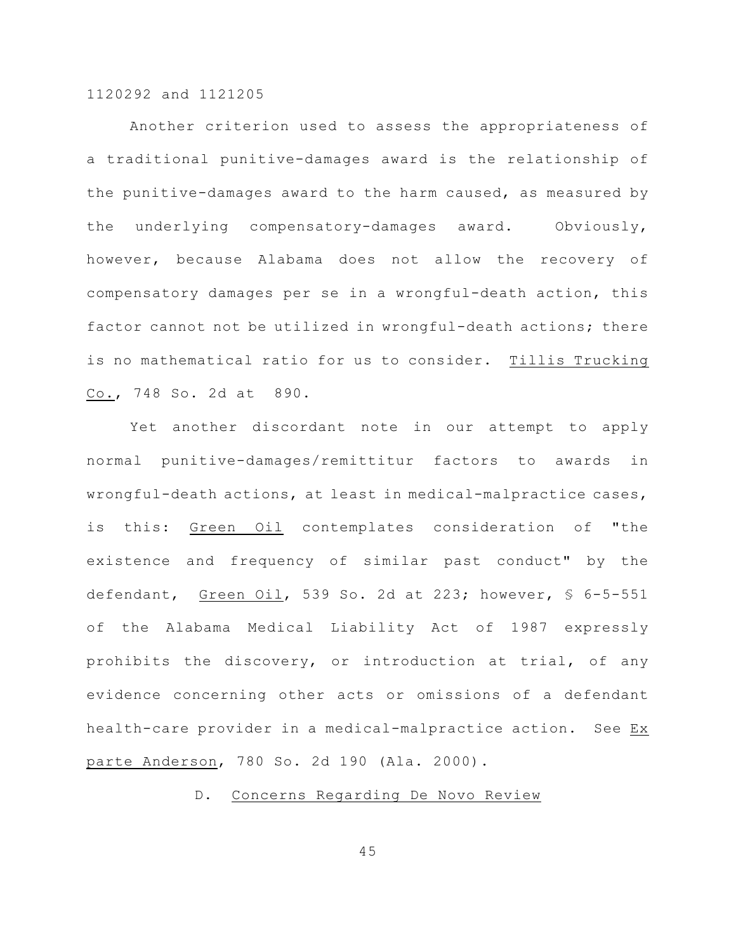Another criterion used to assess the appropriateness of a traditional punitive-damages award is the relationship of the punitive-damages award to the harm caused, as measured by the underlying compensatory-damages award. Obviously, however, because Alabama does not allow the recovery of compensatory damages per se in a wrongful-death action, this factor cannot not be utilized in wrongful-death actions; there is no mathematical ratio for us to consider. Tillis Trucking Co., 748 So. 2d at 890.

Yet another discordant note in our attempt to apply normal punitive-damages/remittitur factors to awards in wrongful-death actions, at least in medical-malpractice cases, is this: Green Oil contemplates consideration of "the existence and frequency of similar past conduct" by the defendant, Green Oil, 539 So. 2d at 223; however, § 6-5-551 of the Alabama Medical Liability Act of 1987 expressly prohibits the discovery, or introduction at trial, of any evidence concerning other acts or omissions of a defendant health-care provider in a medical-malpractice action. See Ex parte Anderson, 780 So. 2d 190 (Ala. 2000).

# D. Concerns Regarding De Novo Review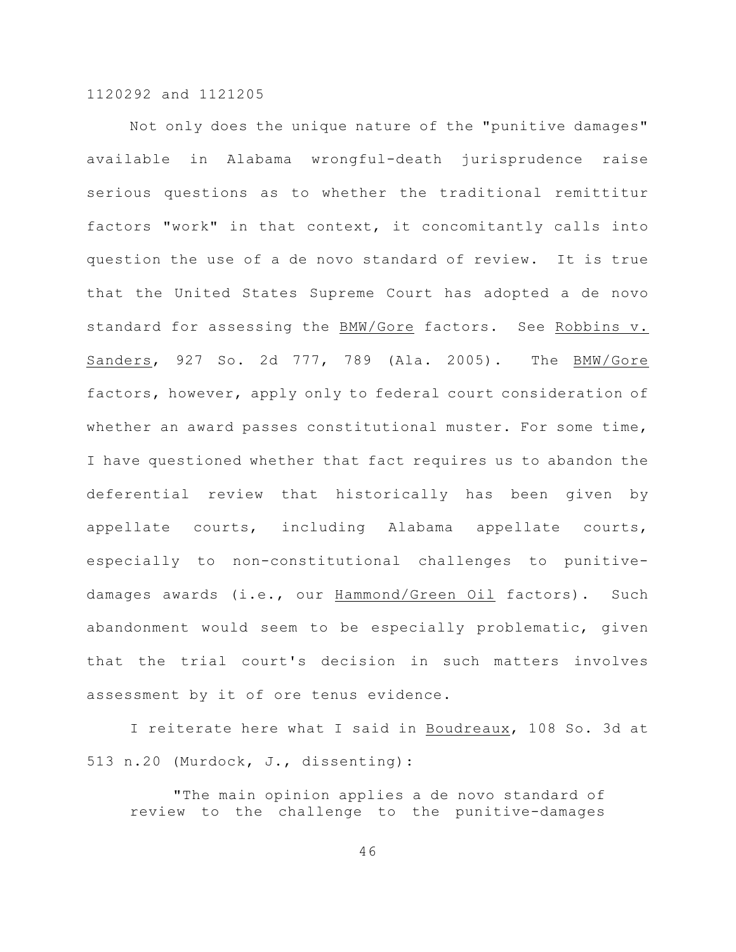Not only does the unique nature of the "punitive damages" available in Alabama wrongful-death jurisprudence raise serious questions as to whether the traditional remittitur factors "work" in that context, it concomitantly calls into question the use of a de novo standard of review. It is true that the United States Supreme Court has adopted a de novo standard for assessing the BMW/Gore factors. See Robbins v. Sanders, 927 So. 2d 777, 789 (Ala. 2005). The BMW/Gore factors, however, apply only to federal court consideration of whether an award passes constitutional muster. For some time, I have questioned whether that fact requires us to abandon the deferential review that historically has been given by appellate courts, including Alabama appellate courts, especially to non-constitutional challenges to punitivedamages awards (i.e., our Hammond/Green Oil factors). Such abandonment would seem to be especially problematic, given that the trial court's decision in such matters involves assessment by it of ore tenus evidence.

I reiterate here what I said in Boudreaux, 108 So. 3d at 513 n.20 (Murdock, J., dissenting):

"The main opinion applies a de novo standard of review to the challenge to the punitive-damages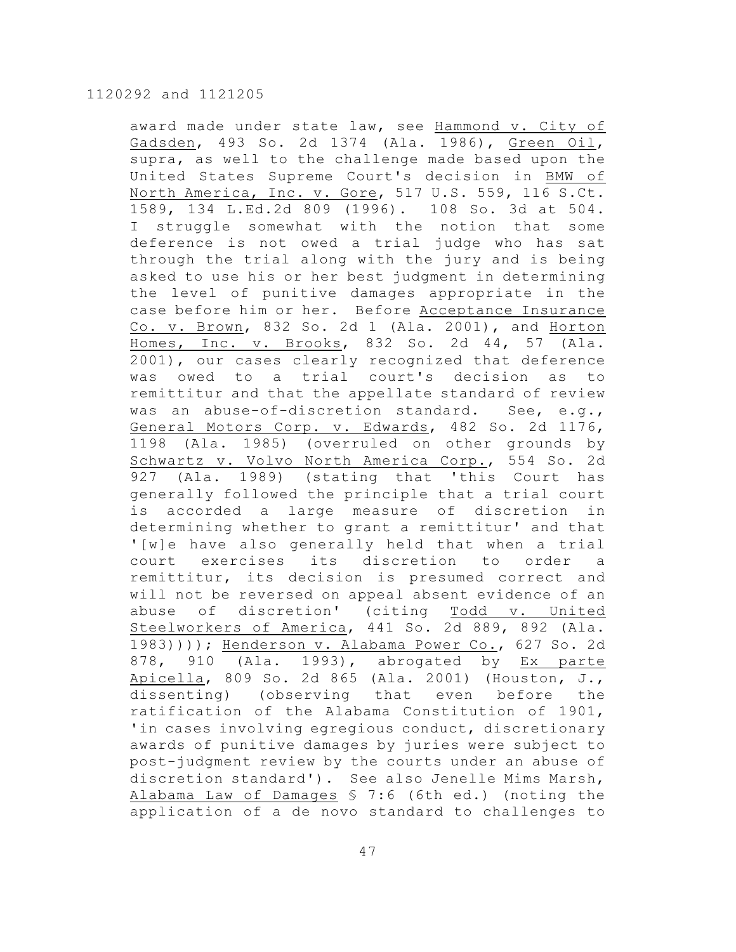award made under state law, see Hammond v. City of Gadsden, 493 So. 2d 1374 (Ala. 1986), Green Oil, supra, as well to the challenge made based upon the United States Supreme Court's decision in BMW of North America, Inc. v. Gore, 517 U.S. 559, 116 S.Ct. 1589, 134 L.Ed.2d 809 (1996). 108 So. 3d at 504. I struggle somewhat with the notion that some deference is not owed a trial judge who has sat through the trial along with the jury and is being asked to use his or her best judgment in determining the level of punitive damages appropriate in the case before him or her. Before Acceptance Insurance Co. v. Brown, 832 So. 2d 1 (Ala. 2001), and Horton Homes, Inc. v. Brooks, 832 So. 2d 44, 57 (Ala. 2001), our cases clearly recognized that deference was owed to a trial court's decision as to remittitur and that the appellate standard of review was an abuse-of-discretion standard. See, e.g., General Motors Corp. v. Edwards, 482 So. 2d 1176, 1198 (Ala. 1985) (overruled on other grounds by Schwartz v. Volvo North America Corp., 554 So. 2d 927 (Ala. 1989) (stating that 'this Court has generally followed the principle that a trial court is accorded a large measure of discretion in determining whether to grant a remittitur' and that '[w]e have also generally held that when a trial court exercises its discretion to order a remittitur, its decision is presumed correct and will not be reversed on appeal absent evidence of an abuse of discretion' (citing Todd v. United Steelworkers of America, 441 So. 2d 889, 892 (Ala. 1983)))); Henderson v. Alabama Power Co., 627 So. 2d 878, 910 (Ala. 1993), abrogated by Ex parte Apicella, 809 So. 2d 865 (Ala. 2001) (Houston, J., dissenting) (observing that even before the ratification of the Alabama Constitution of 1901, 'in cases involving egregious conduct, discretionary awards of punitive damages by juries were subject to post-judgment review by the courts under an abuse of discretion standard'). See also Jenelle Mims Marsh, Alabama Law of Damages § 7:6 (6th ed.) (noting the application of a de novo standard to challenges to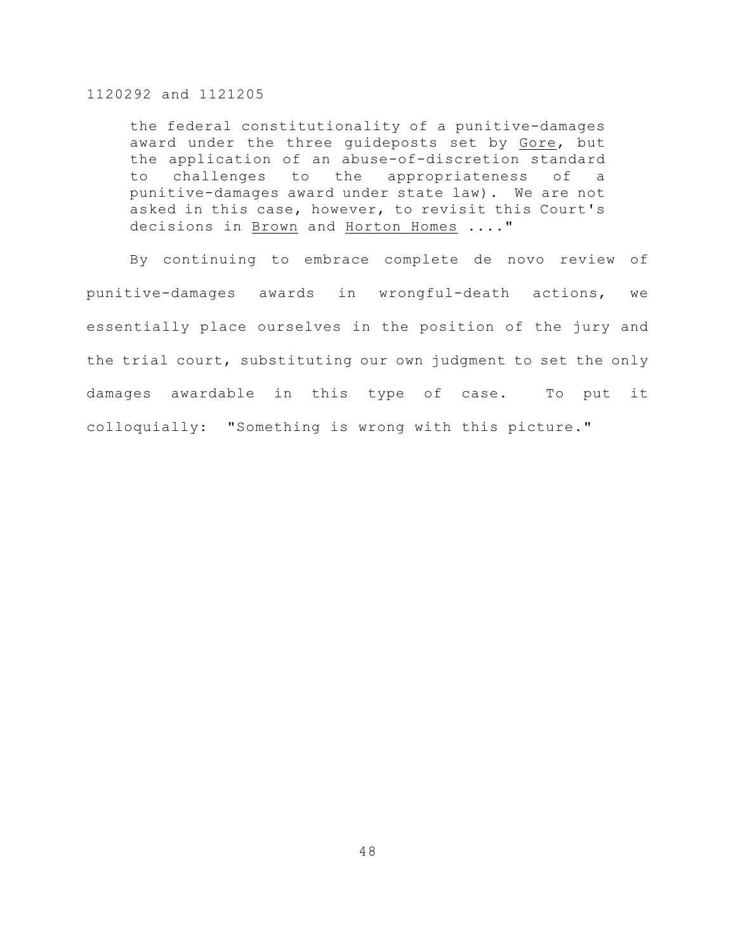the federal constitutionality of a punitive-damages award under the three guideposts set by Gore, but the application of an abuse-of-discretion standard to challenges to the appropriateness of a punitive-damages award under state law). We are not asked in this case, however, to revisit this Court's decisions in Brown and Horton Homes ...."

By continuing to embrace complete de novo review of punitive-damages awards in wrongful-death actions, we essentially place ourselves in the position of the jury and the trial court, substituting our own judgment to set the only damages awardable in this type of case. To put it colloquially: "Something is wrong with this picture."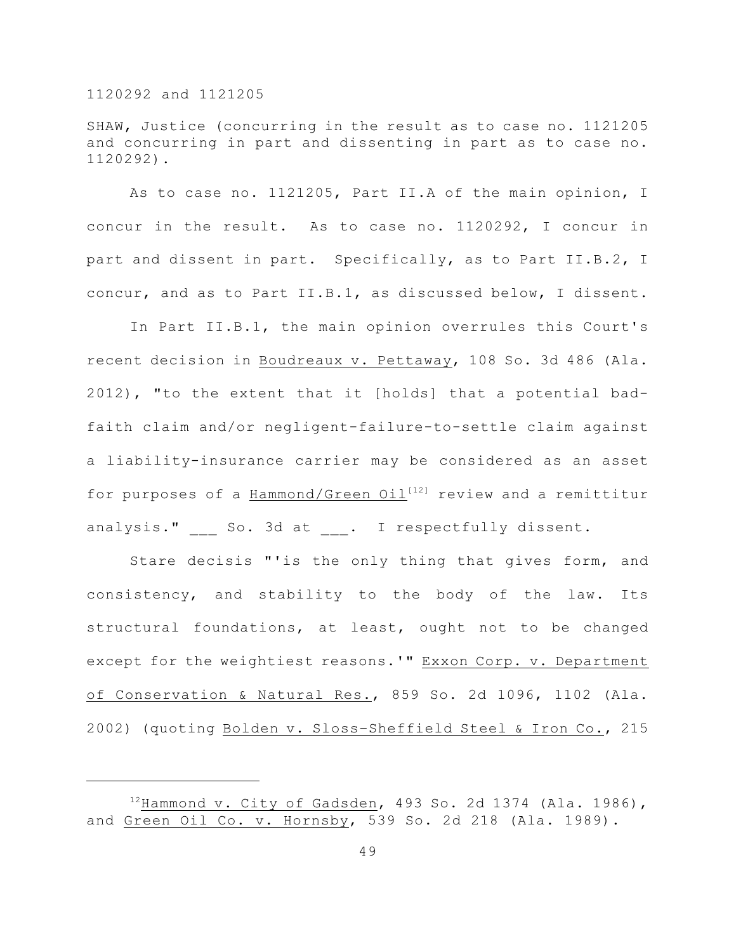SHAW, Justice (concurring in the result as to case no. 1121205 and concurring in part and dissenting in part as to case no. 1120292).

As to case no. 1121205, Part II.A of the main opinion, I concur in the result. As to case no. 1120292, I concur in part and dissent in part. Specifically, as to Part II.B.2, I concur, and as to Part II.B.1, as discussed below, I dissent.

In Part II.B.1, the main opinion overrules this Court's recent decision in Boudreaux v. Pettaway, 108 So. 3d 486 (Ala. 2012), "to the extent that it [holds] that a potential badfaith claim and/or negligent-failure-to-settle claim against a liability-insurance carrier may be considered as an asset for purposes of a Hammond/Green  $0$ il<sup>[12]</sup> review and a remittitur analysis." So. 3d at . I respectfully dissent.

Stare decisis "'is the only thing that gives form, and consistency, and stability to the body of the law. Its structural foundations, at least, ought not to be changed except for the weightiest reasons.'" Exxon Corp. v. Department of Conservation & Natural Res., 859 So. 2d 1096, 1102 (Ala. 2002) (quoting Bolden v. Sloss–Sheffield Steel & Iron Co., 215

 $12$ Hammond v. City of Gadsden, 493 So. 2d 1374 (Ala. 1986), and Green Oil Co. v. Hornsby, 539 So. 2d 218 (Ala. 1989).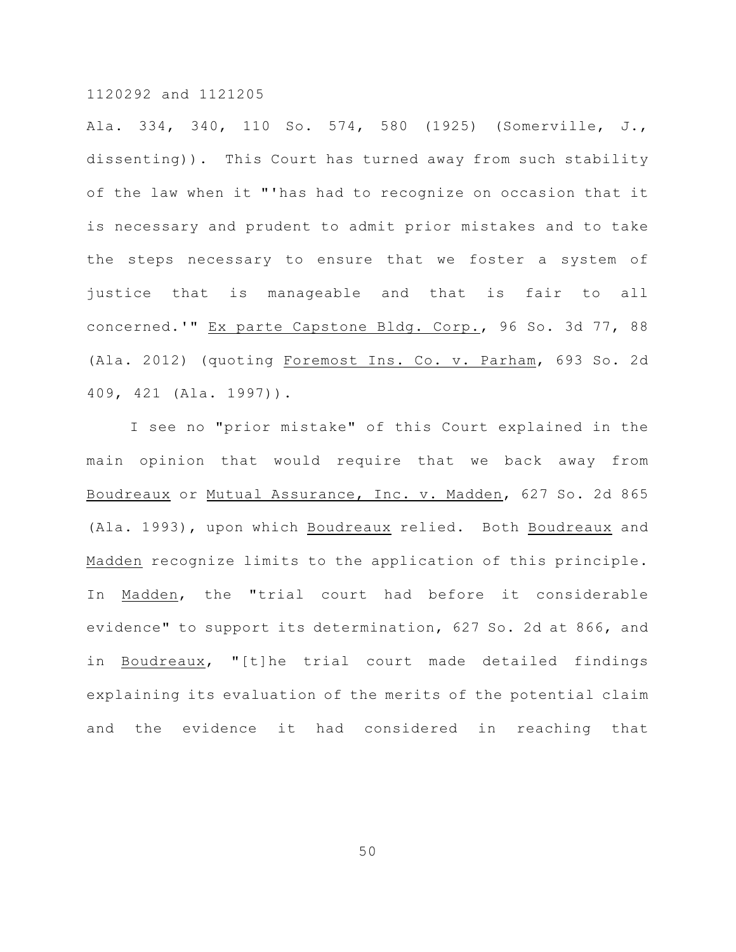Ala. 334, 340, 110 So. 574, 580 (1925) (Somerville, J., dissenting)). This Court has turned away from such stability of the law when it "'has had to recognize on occasion that it is necessary and prudent to admit prior mistakes and to take the steps necessary to ensure that we foster a system of justice that is manageable and that is fair to all concerned.'" Ex parte Capstone Bldg. Corp., 96 So. 3d 77, 88 (Ala. 2012) (quoting Foremost Ins. Co. v. Parham, 693 So. 2d 409, 421 (Ala. 1997)).

I see no "prior mistake" of this Court explained in the main opinion that would require that we back away from Boudreaux or Mutual Assurance, Inc. v. Madden, 627 So. 2d 865 (Ala. 1993), upon which Boudreaux relied. Both Boudreaux and Madden recognize limits to the application of this principle. In Madden, the "trial court had before it considerable evidence" to support its determination, 627 So. 2d at 866, and in Boudreaux, "[t]he trial court made detailed findings explaining its evaluation of the merits of the potential claim and the evidence it had considered in reaching that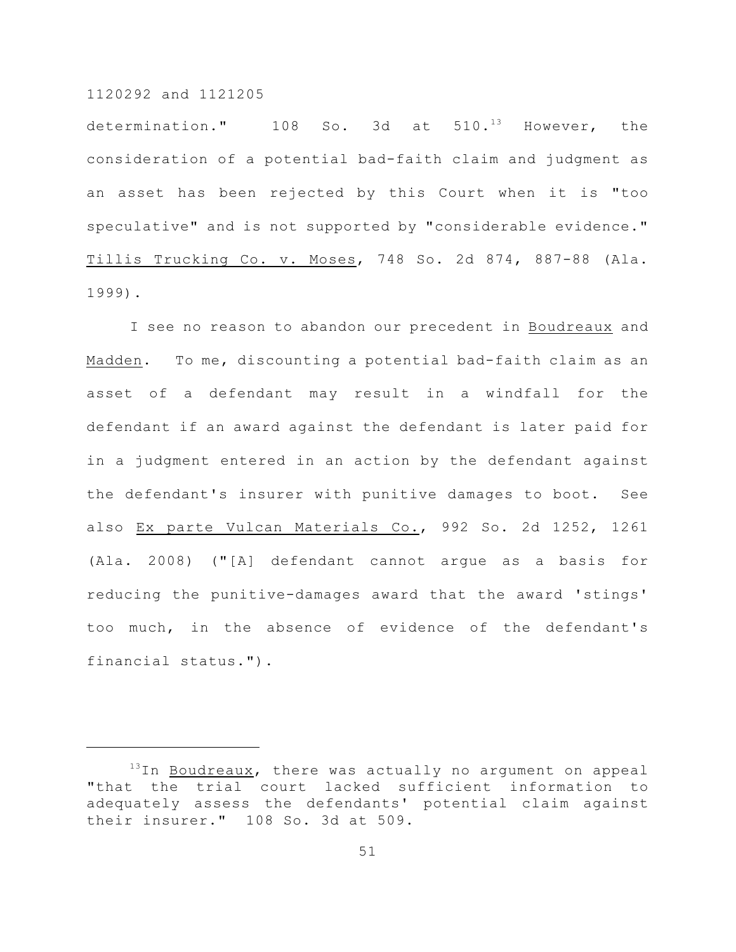determination."  $108$  So. 3d at  $510.^{13}$  However, the consideration of a potential bad-faith claim and judgment as an asset has been rejected by this Court when it is "too speculative" and is not supported by "considerable evidence." Tillis Trucking Co. v. Moses, 748 So. 2d 874, 887-88 (Ala. 1999).

I see no reason to abandon our precedent in Boudreaux and Madden. To me, discounting a potential bad-faith claim as an asset of a defendant may result in a windfall for the defendant if an award against the defendant is later paid for in a judgment entered in an action by the defendant against the defendant's insurer with punitive damages to boot. See also Ex parte Vulcan Materials Co., 992 So. 2d 1252, 1261 (Ala. 2008) ("[A] defendant cannot argue as a basis for reducing the punitive-damages award that the award 'stings' too much, in the absence of evidence of the defendant's financial status.").

 $13$ In Boudreaux, there was actually no argument on appeal "that the trial court lacked sufficient information to adequately assess the defendants' potential claim against their insurer." 108 So. 3d at 509.